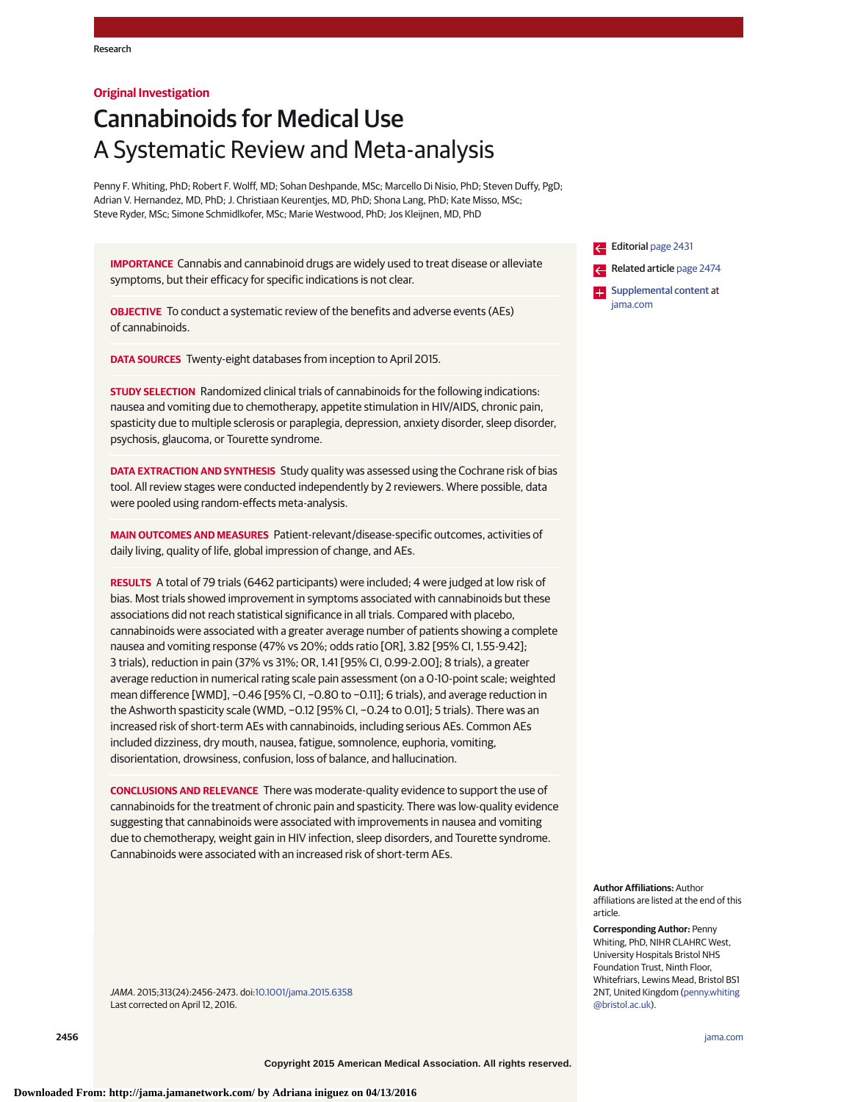## **Original Investigation**

# Cannabinoids for Medical Use A Systematic Review and Meta-analysis

Penny F. Whiting, PhD; Robert F. Wolff, MD; Sohan Deshpande, MSc; Marcello Di Nisio, PhD; Steven Duffy, PgD; Adrian V. Hernandez, MD, PhD; J. Christiaan Keurentjes, MD, PhD; Shona Lang, PhD; Kate Misso, MSc; Steve Ryder, MSc; Simone Schmidlkofer, MSc; Marie Westwood, PhD; Jos Kleijnen, MD, PhD

**IMPORTANCE** Cannabis and cannabinoid drugs are widely used to treat disease or alleviate symptoms, but their efficacy for specific indications is not clear.

**OBJECTIVE** To conduct a systematic review of the benefits and adverse events (AEs) of cannabinoids.

**DATA SOURCES** Twenty-eight databases from inception to April 2015.

**STUDY SELECTION** Randomized clinical trials of cannabinoids for the following indications: nausea and vomiting due to chemotherapy, appetite stimulation in HIV/AIDS, chronic pain, spasticity due to multiple sclerosis or paraplegia, depression, anxiety disorder, sleep disorder, psychosis, glaucoma, or Tourette syndrome.

**DATA EXTRACTION AND SYNTHESIS** Study quality was assessed using the Cochrane risk of bias tool. All review stages were conducted independently by 2 reviewers. Where possible, data were pooled using random-effects meta-analysis.

**MAIN OUTCOMES AND MEASURES** Patient-relevant/disease-specific outcomes, activities of daily living, quality of life, global impression of change, and AEs.

**RESULTS** A total of 79 trials (6462 participants) were included; 4 were judged at low risk of bias. Most trials showed improvement in symptoms associated with cannabinoids but these associations did not reach statistical significance in all trials. Compared with placebo, cannabinoids were associated with a greater average number of patients showing a complete nausea and vomiting response (47% vs 20%; odds ratio [OR], 3.82 [95% CI, 1.55-9.42]; 3 trials), reduction in pain (37% vs 31%; OR, 1.41 [95% CI, 0.99-2.00]; 8 trials), a greater average reduction in numerical rating scale pain assessment (on a 0-10-point scale; weighted mean difference [WMD], −0.46 [95% CI, −0.80 to −0.11]; 6 trials), and average reduction in the Ashworth spasticity scale (WMD, −0.12 [95% CI, −0.24 to 0.01]; 5 trials). There was an increased risk of short-term AEs with cannabinoids, including serious AEs. Common AEs included dizziness, dry mouth, nausea, fatigue, somnolence, euphoria, vomiting, disorientation, drowsiness, confusion, loss of balance, and hallucination.

**CONCLUSIONS AND RELEVANCE** There was moderate-quality evidence to support the use of cannabinoids for the treatment of chronic pain and spasticity. There was low-quality evidence suggesting that cannabinoids were associated with improvements in nausea and vomiting due to chemotherapy, weight gain in HIV infection, sleep disorders, and Tourette syndrome. Cannabinoids were associated with an increased risk of short-term AEs.

JAMA. 2015;313(24):2456-2473. doi[:10.1001/jama.2015.6358](http://jama.jamanetwork.com/article.aspx?doi=10.1001/jama.2015.6358&utm_campaign=articlePDF%26utm_medium=articlePDFlink%26utm_source=articlePDF%26utm_content=jama.2015.6358) Last corrected on April 12, 2016.

Editorial [page 2431](http://jama.jamanetwork.com/article.aspx?doi=10.1001/jama.2015.6407&utm_campaign=articlePDF%26utm_medium=articlePDFlink%26utm_source=articlePDF%26utm_content=jama.2015.6358) Related article [page 2474](http://jama.jamanetwork.com/article.aspx?doi=10.1001/jama.2015.6199&utm_campaign=articlePDF%26utm_medium=articlePDFlink%26utm_source=articlePDF%26utm_content=jama.2015.6358)

**Examplemental content at** [jama.com](http://www.jama.com/?utm_campaign=articlePDF%26utm_medium=articlePDFlink%26utm_source=articlePDF%26utm_content=jama.2015.6358)

**Author Affiliations:** Author affiliations are listed at the end of this article.

**Corresponding Author:** Penny Whiting, PhD, NIHR CLAHRC West, University Hospitals Bristol NHS Foundation Trust, Ninth Floor, Whitefriars, Lewins Mead, Bristol BS1 2NT, United Kingdom [\(penny.whiting](mailto:penny.whiting@bristol.ac.uk) [@bristol.ac.uk\)](mailto:penny.whiting@bristol.ac.uk).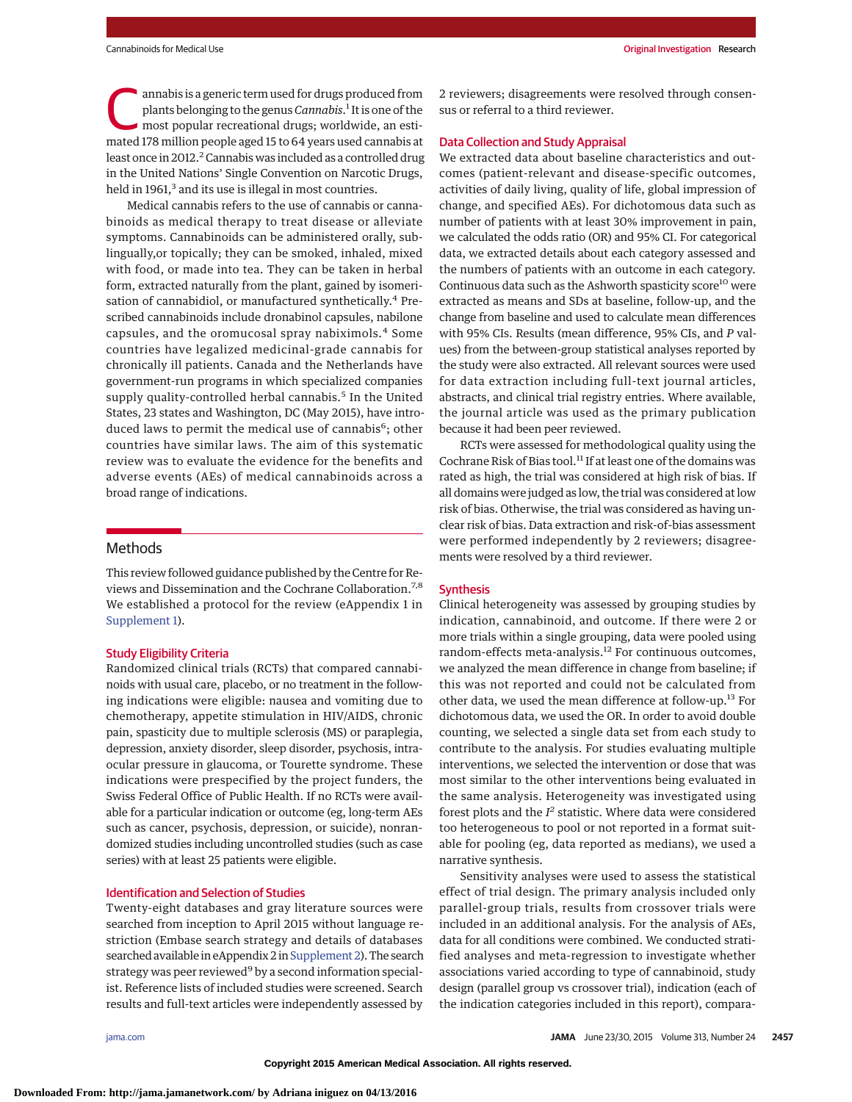annabis is a generic term used for drugs produced from<br>plants belonging to the genus *Cannabis*.<sup>1</sup> It is one of the<br>most popular recreational drugs; worldwide, an esti-<br>mated 178 million popula and 15 to 64 years used can plants belonging to the genus *Cannabis*. 1 It is one of the mated 178 million people aged 15 to 64 years used cannabis at least once in 2012.<sup>2</sup> Cannabis was included as a controlled drug in the United Nations' Single Convention on Narcotic Drugs, held in 1961,<sup>3</sup> and its use is illegal in most countries.

Medical cannabis refers to the use of cannabis or cannabinoids as medical therapy to treat disease or alleviate symptoms. Cannabinoids can be administered orally, sublingually,or topically; they can be smoked, inhaled, mixed with food, or made into tea. They can be taken in herbal form, extracted naturally from the plant, gained by isomerisation of cannabidiol, or manufactured synthetically.<sup>4</sup> Prescribed cannabinoids include dronabinol capsules, nabilone capsules, and the oromucosal spray nabiximols.<sup>4</sup> Some countries have legalized medicinal-grade cannabis for chronically ill patients. Canada and the Netherlands have government-run programs in which specialized companies supply quality-controlled herbal cannabis.<sup>5</sup> In the United States, 23 states and Washington, DC (May 2015), have introduced laws to permit the medical use of cannabis<sup>6</sup>; other countries have similar laws. The aim of this systematic review was to evaluate the evidence for the benefits and adverse events (AEs) of medical cannabinoids across a broad range of indications.

## Methods

This review followed guidance published by the Centre for Reviews and Dissemination and the Cochrane Collaboration.7,8 We established a protocol for the review (eAppendix 1 in [Supplement 1\)](http://jama.jamanetwork.com/article.aspx?doi=10.1001/jama.2015.6358&utm_campaign=articlePDF%26utm_medium=articlePDFlink%26utm_source=articlePDF%26utm_content=jama.2015.6358).

#### Study Eligibility Criteria

Randomized clinical trials (RCTs) that compared cannabinoids with usual care, placebo, or no treatment in the following indications were eligible: nausea and vomiting due to chemotherapy, appetite stimulation in HIV/AIDS, chronic pain, spasticity due to multiple sclerosis (MS) or paraplegia, depression, anxiety disorder, sleep disorder, psychosis, intraocular pressure in glaucoma, or Tourette syndrome. These indications were prespecified by the project funders, the Swiss Federal Office of Public Health. If no RCTs were available for a particular indication or outcome (eg, long-term AEs such as cancer, psychosis, depression, or suicide), nonrandomized studies including uncontrolled studies (such as case series) with at least 25 patients were eligible.

## Identification and Selection of Studies

Twenty-eight databases and gray literature sources were searched from inception to April 2015 without language restriction (Embase search strategy and details of databases searched available in eAppendix 2 in [Supplement 2\)](http://jama.jamanetwork.com/article.aspx?doi=10.1001/jama.2015.6358&utm_campaign=articlePDF%26utm_medium=articlePDFlink%26utm_source=articlePDF%26utm_content=jama.2015.6358). The search strategy was peer reviewed<sup>9</sup> by a second information specialist. Reference lists of included studies were screened. Search results and full-text articles were independently assessed by

2 reviewers; disagreements were resolved through consensus or referral to a third reviewer.

## Data Collection and Study Appraisal

We extracted data about baseline characteristics and outcomes (patient-relevant and disease-specific outcomes, activities of daily living, quality of life, global impression of change, and specified AEs). For dichotomous data such as number of patients with at least 30% improvement in pain, we calculated the odds ratio (OR) and 95% CI. For categorical data, we extracted details about each category assessed and the numbers of patients with an outcome in each category. Continuous data such as the Ashworth spasticity score<sup>10</sup> were extracted as means and SDs at baseline, follow-up, and the change from baseline and used to calculate mean differences with 95% CIs. Results (mean difference, 95% CIs, and *P* values) from the between-group statistical analyses reported by the study were also extracted. All relevant sources were used for data extraction including full-text journal articles, abstracts, and clinical trial registry entries. Where available, the journal article was used as the primary publication because it had been peer reviewed.

RCTs were assessed for methodological quality using the Cochrane Risk of Bias tool.<sup>11</sup> If at least one of the domains was rated as high, the trial was considered at high risk of bias. If all domains were judged as low, the trial was considered at low risk of bias. Otherwise, the trial was considered as having unclear risk of bias. Data extraction and risk-of-bias assessment were performed independently by 2 reviewers; disagreements were resolved by a third reviewer.

## **Synthesis**

Clinical heterogeneity was assessed by grouping studies by indication, cannabinoid, and outcome. If there were 2 or more trials within a single grouping, data were pooled using random-effects meta-analysis.<sup>12</sup> For continuous outcomes, we analyzed the mean difference in change from baseline; if this was not reported and could not be calculated from other data, we used the mean difference at follow-up.<sup>13</sup> For dichotomous data, we used the OR. In order to avoid double counting, we selected a single data set from each study to contribute to the analysis. For studies evaluating multiple interventions, we selected the intervention or dose that was most similar to the other interventions being evaluated in the same analysis. Heterogeneity was investigated using forest plots and the *I <sup>2</sup>* statistic. Where data were considered too heterogeneous to pool or not reported in a format suitable for pooling (eg, data reported as medians), we used a narrative synthesis.

Sensitivity analyses were used to assess the statistical effect of trial design. The primary analysis included only parallel-group trials, results from crossover trials were included in an additional analysis. For the analysis of AEs, data for all conditions were combined. We conducted stratified analyses and meta-regression to investigate whether associations varied according to type of cannabinoid, study design (parallel group vs crossover trial), indication (each of the indication categories included in this report), compara-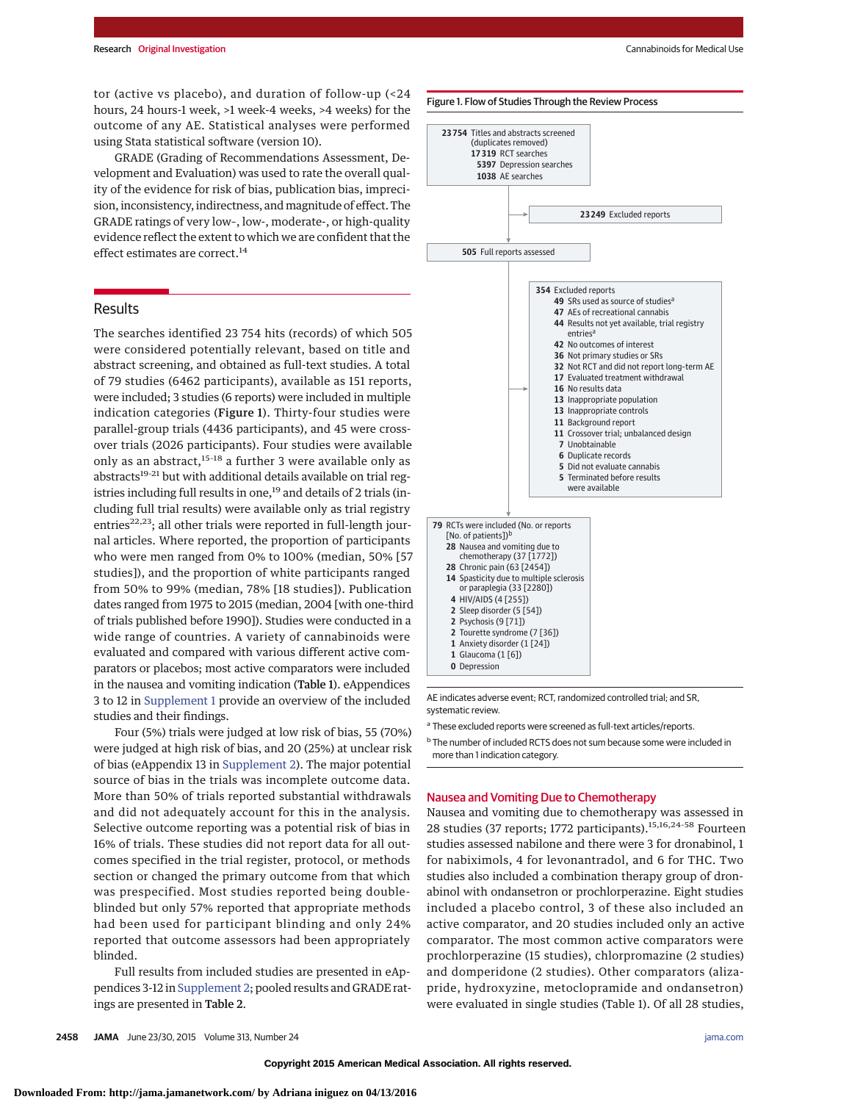tor (active vs placebo), and duration of follow-up (<24 hours, 24 hours-1 week, >1 week-4 weeks, >4 weeks) for the outcome of any AE. Statistical analyses were performed using Stata statistical software (version 10).

GRADE (Grading of Recommendations Assessment, Development and Evaluation) was used to rate the overall quality of the evidence for risk of bias, publication bias, imprecision, inconsistency, indirectness, and magnitude of effect. The GRADE ratings of very low–, low-, moderate-, or high-quality evidence reflect the extent to which we are confident that the effect estimates are correct.<sup>14</sup>

# Results

The searches identified 23 754 hits (records) of which 505 were considered potentially relevant, based on title and abstract screening, and obtained as full-text studies. A total of 79 studies (6462 participants), available as 151 reports, were included; 3 studies (6 reports) were included in multiple indication categories (Figure 1). Thirty-four studies were parallel-group trials (4436 participants), and 45 were crossover trials (2026 participants). Four studies were available only as an abstract,<sup>15-18</sup> a further 3 were available only as abstracts<sup>19-21</sup> but with additional details available on trial registries including full results in one,<sup>19</sup> and details of 2 trials (including full trial results) were available only as trial registry entries<sup>22,23</sup>; all other trials were reported in full-length journal articles. Where reported, the proportion of participants who were men ranged from 0% to 100% (median, 50% [57 studies]), and the proportion of white participants ranged from 50% to 99% (median, 78% [18 studies]). Publication dates ranged from 1975 to 2015 (median, 2004 [with one-third of trials published before 1990]). Studies were conducted in a wide range of countries. A variety of cannabinoids were evaluated and compared with various different active comparators or placebos; most active comparators were included in the nausea and vomiting indication (Table 1). eAppendices 3 to 12 in [Supplement 1](http://jama.jamanetwork.com/article.aspx?doi=10.1001/jama.2015.6358&utm_campaign=articlePDF%26utm_medium=articlePDFlink%26utm_source=articlePDF%26utm_content=jama.2015.6358) provide an overview of the included studies and their findings.

Four (5%) trials were judged at low risk of bias, 55 (70%) were judged at high risk of bias, and 20 (25%) at unclear risk of bias (eAppendix 13 in [Supplement 2\)](http://jama.jamanetwork.com/article.aspx?doi=10.1001/jama.2015.6358&utm_campaign=articlePDF%26utm_medium=articlePDFlink%26utm_source=articlePDF%26utm_content=jama.2015.6358). The major potential source of bias in the trials was incomplete outcome data. More than 50% of trials reported substantial withdrawals and did not adequately account for this in the analysis. Selective outcome reporting was a potential risk of bias in 16% of trials. These studies did not report data for all outcomes specified in the trial register, protocol, or methods section or changed the primary outcome from that which was prespecified. Most studies reported being doubleblinded but only 57% reported that appropriate methods had been used for participant blinding and only 24% reported that outcome assessors had been appropriately blinded.

Full results from included studies are presented in eAppendices 3-12 in [Supplement 2;](http://jama.jamanetwork.com/article.aspx?doi=10.1001/jama.2015.6358&utm_campaign=articlePDF%26utm_medium=articlePDFlink%26utm_source=articlePDF%26utm_content=jama.2015.6358) pooled results and GRADE ratings are presented in Table 2.



AE indicates adverse event; RCT, randomized controlled trial; and SR, systematic review.

<sup>a</sup> These excluded reports were screened as full-text articles/reports.

<sup>b</sup> The number of included RCTS does not sum because some were included in more than 1 indication category.

## Nausea and Vomiting Due to Chemotherapy

Nausea and vomiting due to chemotherapy was assessed in 28 studies (37 reports; 1772 participants).<sup>15,16,24-58</sup> Fourteen studies assessed nabilone and there were 3 for dronabinol, 1 for nabiximols, 4 for levonantradol, and 6 for THC. Two studies also included a combination therapy group of dronabinol with ondansetron or prochlorperazine. Eight studies included a placebo control, 3 of these also included an active comparator, and 20 studies included only an active comparator. The most common active comparators were prochlorperazine (15 studies), chlorpromazine (2 studies) and domperidone (2 studies). Other comparators (alizapride, hydroxyzine, metoclopramide and ondansetron) were evaluated in single studies (Table 1). Of all 28 studies,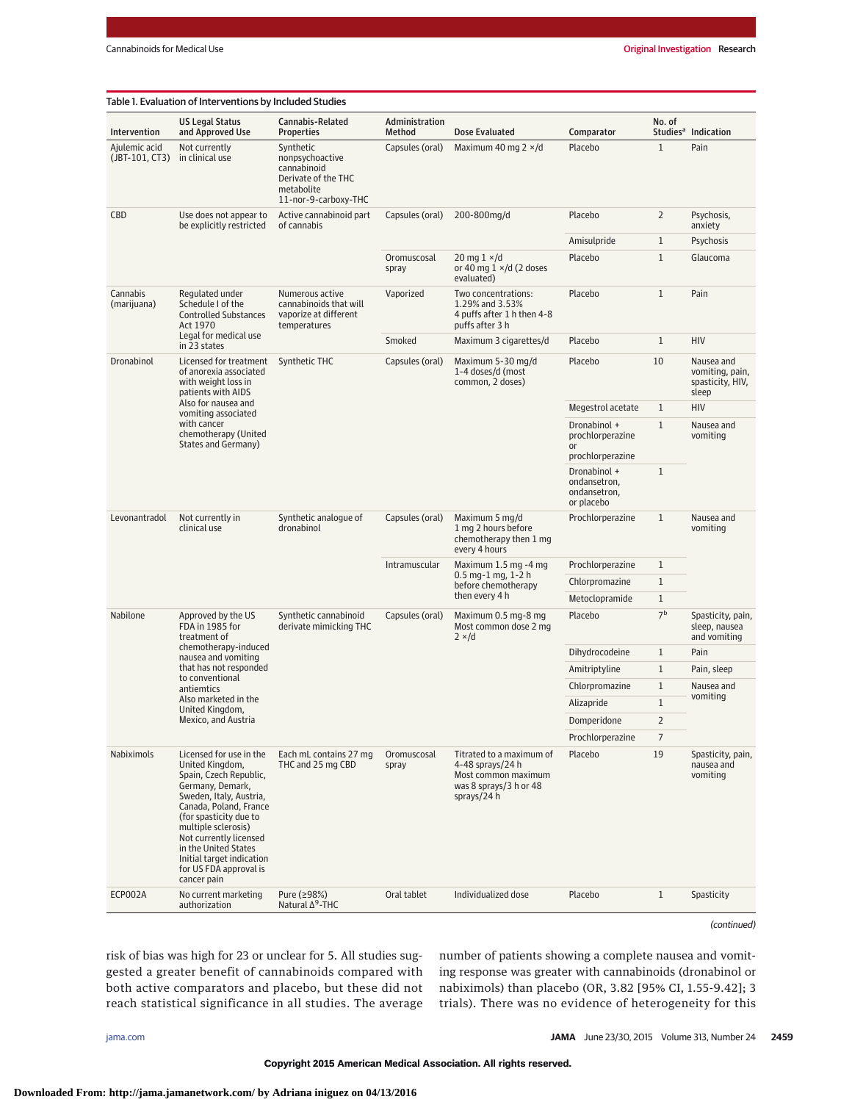| $\mathbf{1}$<br>Placebo<br>Pain<br>Ajulemic acid<br>Not currently<br>Synthetic<br>Capsules (oral)<br>Maximum 40 mg $2 \times /d$<br>in clinical use<br>nonpsychoactive<br>(JBT-101, CT3)<br>cannabinoid<br>Derivate of the THC<br>metabolite<br>11-nor-9-carboxy-THC<br>Active cannabinoid part<br>200-800mg/d<br>Placebo<br>$\overline{2}$<br>CBD<br>Use does not appear to<br>Capsules (oral)<br>be explicitly restricted<br>of cannabis<br>anxiety<br>$\mathbf{1}$<br>Amisulpride<br>$\mathbf{1}$<br>20 mg $1 \times/d$<br>Placebo<br>Oromuscosal<br>or 40 mg $1 \times$ /d (2 doses<br>spray<br>evaluated)<br>$\mathbf{1}$<br>Pain<br>Cannabis<br>Regulated under<br>Numerous active<br>Vaporized<br>Two concentrations:<br>Placebo<br>Schedule I of the<br>(marijuana)<br>cannabinoids that will<br>1.29% and 3.53%<br><b>Controlled Substances</b><br>4 puffs after 1 h then 4-8<br>vaporize at different<br>Act 1970<br>temperatures<br>puffs after 3 h<br>Legal for medical use<br>Smoked<br>Maximum 3 cigarettes/d<br>Placebo<br>$\mathbf{1}$<br><b>HIV</b><br>in 23 states<br>Dronabinol<br>Licensed for treatment<br>Capsules (oral)<br>Maximum 5-30 mg/d<br>Placebo<br>10<br>Synthetic THC<br>1-4 doses/d (most<br>of anorexia associated<br>with weight loss in<br>common, 2 doses)<br>patients with AIDS<br>sleep<br>Also for nausea and<br>Megestrol acetate<br>$\mathbf{1}$<br><b>HIV</b><br>vomiting associated<br>with cancer<br>$\mathbf{1}$<br>Dronabinol +<br>chemotherapy (United<br>prochlorperazine<br>vomiting<br>States and Germany)<br><b>or</b><br>prochlorperazine<br>$\mathbf{1}$<br>Dronabinol +<br>ondansetron,<br>ondansetron,<br>or placebo<br>$\mathbf{1}$<br>Not currently in<br>Synthetic analogue of<br>Maximum 5 mg/d<br>Levonantradol<br>Capsules (oral)<br>Prochlorperazine<br>clinical use<br>dronabinol<br>1 mg 2 hours before<br>vomiting<br>chemotherapy then 1 mg<br>every 4 hours<br>Intramuscular<br>Maximum 1.5 mg -4 mg<br>Prochlorperazine<br>$\mathbf{1}$<br>$0.5$ mg-1 mg, 1-2 h<br>$\mathbf{1}$<br>Chlorpromazine<br>before chemotherapy<br>then every 4 h<br>Metoclopramide<br>$\mathbf{1}$<br>7 <sup>b</sup><br>Nabilone<br>Synthetic cannabinoid<br>Capsules (oral)<br>Maximum 0.5 mg-8 mg<br>Placebo<br>Approved by the US<br>FDA in 1985 for<br>derivate mimicking THC<br>Most common dose 2 mg<br>treatment of<br>$2 \times/d$<br>chemotherapy-induced<br>Dihydrocodeine<br>$\mathbf{1}$<br>Pain<br>nausea and vomiting<br>that has not responded<br>$\mathbf{1}$<br>Amitriptyline<br>to conventional<br>$\mathbf{1}$<br>Chlorpromazine<br>antiemtics<br>vomiting<br>Also marketed in the<br>$\mathbf{1}$<br>Alizapride<br>United Kingdom,<br>Domperidone<br>$\overline{2}$<br>Mexico, and Austria<br>Prochlorperazine<br>7<br>Licensed for use in the<br>19<br>Nabiximols<br>Each mL contains 27 mg<br>Titrated to a maximum of<br>Placebo<br>Oromuscosal<br>THC and 25 mg CBD<br>United Kingdom,<br>4-48 sprays/24 h<br>spray<br>Spain, Czech Republic,<br>Most common maximum<br>vomiting<br>Germany, Demark,<br>was 8 sprays/3 h or 48<br>Sweden, Italy, Austria,<br>sprays/24 h<br>Canada, Poland, France<br>(for spasticity due to<br>multiple sclerosis)<br>Not currently licensed<br>in the United States<br>Initial target indication<br>for US FDA approval is<br>cancer pain<br>$\mathbf{1}$<br>ECP002A<br>No current marketing<br>Pure (≥98%)<br>Oral tablet<br>Individualized dose<br>Placebo<br>Natural ∆ <sup>9</sup> -THC<br>authorization | Intervention | <b>US Legal Status</b><br>and Approved Use | Cannabis-Related<br><b>Properties</b> | Administration<br>Method | Dose Evaluated | Comparator | No. of                                            | Studies <sup>a</sup> Indication                    |
|------------------------------------------------------------------------------------------------------------------------------------------------------------------------------------------------------------------------------------------------------------------------------------------------------------------------------------------------------------------------------------------------------------------------------------------------------------------------------------------------------------------------------------------------------------------------------------------------------------------------------------------------------------------------------------------------------------------------------------------------------------------------------------------------------------------------------------------------------------------------------------------------------------------------------------------------------------------------------------------------------------------------------------------------------------------------------------------------------------------------------------------------------------------------------------------------------------------------------------------------------------------------------------------------------------------------------------------------------------------------------------------------------------------------------------------------------------------------------------------------------------------------------------------------------------------------------------------------------------------------------------------------------------------------------------------------------------------------------------------------------------------------------------------------------------------------------------------------------------------------------------------------------------------------------------------------------------------------------------------------------------------------------------------------------------------------------------------------------------------------------------------------------------------------------------------------------------------------------------------------------------------------------------------------------------------------------------------------------------------------------------------------------------------------------------------------------------------------------------------------------------------------------------------------------------------------------------------------------------------------------------------------------------------------------------------------------------------------------------------------------------------------------------------------------------------------------------------------------------------------------------------------------------------------------------------------------------------------------------------------------------------------------------------------------------------------------------------------------------------------------------------------------------------------------------------------------------------------------------------------------------------------------------------------------------------------------------------------------------------------------------------------------------------------------------------------------------------------------------------------------------------------|--------------|--------------------------------------------|---------------------------------------|--------------------------|----------------|------------|---------------------------------------------------|----------------------------------------------------|
|                                                                                                                                                                                                                                                                                                                                                                                                                                                                                                                                                                                                                                                                                                                                                                                                                                                                                                                                                                                                                                                                                                                                                                                                                                                                                                                                                                                                                                                                                                                                                                                                                                                                                                                                                                                                                                                                                                                                                                                                                                                                                                                                                                                                                                                                                                                                                                                                                                                                                                                                                                                                                                                                                                                                                                                                                                                                                                                                                                                                                                                                                                                                                                                                                                                                                                                                                                                                                                                                                                                        |              |                                            |                                       |                          |                |            |                                                   |                                                    |
|                                                                                                                                                                                                                                                                                                                                                                                                                                                                                                                                                                                                                                                                                                                                                                                                                                                                                                                                                                                                                                                                                                                                                                                                                                                                                                                                                                                                                                                                                                                                                                                                                                                                                                                                                                                                                                                                                                                                                                                                                                                                                                                                                                                                                                                                                                                                                                                                                                                                                                                                                                                                                                                                                                                                                                                                                                                                                                                                                                                                                                                                                                                                                                                                                                                                                                                                                                                                                                                                                                                        |              |                                            |                                       |                          |                |            |                                                   | Psychosis,                                         |
|                                                                                                                                                                                                                                                                                                                                                                                                                                                                                                                                                                                                                                                                                                                                                                                                                                                                                                                                                                                                                                                                                                                                                                                                                                                                                                                                                                                                                                                                                                                                                                                                                                                                                                                                                                                                                                                                                                                                                                                                                                                                                                                                                                                                                                                                                                                                                                                                                                                                                                                                                                                                                                                                                                                                                                                                                                                                                                                                                                                                                                                                                                                                                                                                                                                                                                                                                                                                                                                                                                                        |              |                                            |                                       |                          |                |            |                                                   | Psychosis                                          |
|                                                                                                                                                                                                                                                                                                                                                                                                                                                                                                                                                                                                                                                                                                                                                                                                                                                                                                                                                                                                                                                                                                                                                                                                                                                                                                                                                                                                                                                                                                                                                                                                                                                                                                                                                                                                                                                                                                                                                                                                                                                                                                                                                                                                                                                                                                                                                                                                                                                                                                                                                                                                                                                                                                                                                                                                                                                                                                                                                                                                                                                                                                                                                                                                                                                                                                                                                                                                                                                                                                                        |              |                                            |                                       |                          |                |            |                                                   | Glaucoma                                           |
|                                                                                                                                                                                                                                                                                                                                                                                                                                                                                                                                                                                                                                                                                                                                                                                                                                                                                                                                                                                                                                                                                                                                                                                                                                                                                                                                                                                                                                                                                                                                                                                                                                                                                                                                                                                                                                                                                                                                                                                                                                                                                                                                                                                                                                                                                                                                                                                                                                                                                                                                                                                                                                                                                                                                                                                                                                                                                                                                                                                                                                                                                                                                                                                                                                                                                                                                                                                                                                                                                                                        |              |                                            |                                       |                          |                |            |                                                   |                                                    |
|                                                                                                                                                                                                                                                                                                                                                                                                                                                                                                                                                                                                                                                                                                                                                                                                                                                                                                                                                                                                                                                                                                                                                                                                                                                                                                                                                                                                                                                                                                                                                                                                                                                                                                                                                                                                                                                                                                                                                                                                                                                                                                                                                                                                                                                                                                                                                                                                                                                                                                                                                                                                                                                                                                                                                                                                                                                                                                                                                                                                                                                                                                                                                                                                                                                                                                                                                                                                                                                                                                                        |              |                                            |                                       |                          |                |            |                                                   |                                                    |
|                                                                                                                                                                                                                                                                                                                                                                                                                                                                                                                                                                                                                                                                                                                                                                                                                                                                                                                                                                                                                                                                                                                                                                                                                                                                                                                                                                                                                                                                                                                                                                                                                                                                                                                                                                                                                                                                                                                                                                                                                                                                                                                                                                                                                                                                                                                                                                                                                                                                                                                                                                                                                                                                                                                                                                                                                                                                                                                                                                                                                                                                                                                                                                                                                                                                                                                                                                                                                                                                                                                        |              |                                            |                                       |                          |                |            | Nausea and<br>vomiting, pain,<br>spasticity, HIV, |                                                    |
|                                                                                                                                                                                                                                                                                                                                                                                                                                                                                                                                                                                                                                                                                                                                                                                                                                                                                                                                                                                                                                                                                                                                                                                                                                                                                                                                                                                                                                                                                                                                                                                                                                                                                                                                                                                                                                                                                                                                                                                                                                                                                                                                                                                                                                                                                                                                                                                                                                                                                                                                                                                                                                                                                                                                                                                                                                                                                                                                                                                                                                                                                                                                                                                                                                                                                                                                                                                                                                                                                                                        |              |                                            |                                       |                          |                |            |                                                   |                                                    |
|                                                                                                                                                                                                                                                                                                                                                                                                                                                                                                                                                                                                                                                                                                                                                                                                                                                                                                                                                                                                                                                                                                                                                                                                                                                                                                                                                                                                                                                                                                                                                                                                                                                                                                                                                                                                                                                                                                                                                                                                                                                                                                                                                                                                                                                                                                                                                                                                                                                                                                                                                                                                                                                                                                                                                                                                                                                                                                                                                                                                                                                                                                                                                                                                                                                                                                                                                                                                                                                                                                                        |              |                                            |                                       |                          |                |            |                                                   | Nausea and                                         |
|                                                                                                                                                                                                                                                                                                                                                                                                                                                                                                                                                                                                                                                                                                                                                                                                                                                                                                                                                                                                                                                                                                                                                                                                                                                                                                                                                                                                                                                                                                                                                                                                                                                                                                                                                                                                                                                                                                                                                                                                                                                                                                                                                                                                                                                                                                                                                                                                                                                                                                                                                                                                                                                                                                                                                                                                                                                                                                                                                                                                                                                                                                                                                                                                                                                                                                                                                                                                                                                                                                                        |              |                                            |                                       |                          |                |            |                                                   |                                                    |
|                                                                                                                                                                                                                                                                                                                                                                                                                                                                                                                                                                                                                                                                                                                                                                                                                                                                                                                                                                                                                                                                                                                                                                                                                                                                                                                                                                                                                                                                                                                                                                                                                                                                                                                                                                                                                                                                                                                                                                                                                                                                                                                                                                                                                                                                                                                                                                                                                                                                                                                                                                                                                                                                                                                                                                                                                                                                                                                                                                                                                                                                                                                                                                                                                                                                                                                                                                                                                                                                                                                        |              |                                            |                                       |                          |                |            |                                                   | Nausea and                                         |
|                                                                                                                                                                                                                                                                                                                                                                                                                                                                                                                                                                                                                                                                                                                                                                                                                                                                                                                                                                                                                                                                                                                                                                                                                                                                                                                                                                                                                                                                                                                                                                                                                                                                                                                                                                                                                                                                                                                                                                                                                                                                                                                                                                                                                                                                                                                                                                                                                                                                                                                                                                                                                                                                                                                                                                                                                                                                                                                                                                                                                                                                                                                                                                                                                                                                                                                                                                                                                                                                                                                        |              |                                            |                                       |                          |                |            |                                                   |                                                    |
|                                                                                                                                                                                                                                                                                                                                                                                                                                                                                                                                                                                                                                                                                                                                                                                                                                                                                                                                                                                                                                                                                                                                                                                                                                                                                                                                                                                                                                                                                                                                                                                                                                                                                                                                                                                                                                                                                                                                                                                                                                                                                                                                                                                                                                                                                                                                                                                                                                                                                                                                                                                                                                                                                                                                                                                                                                                                                                                                                                                                                                                                                                                                                                                                                                                                                                                                                                                                                                                                                                                        |              |                                            |                                       |                          |                |            |                                                   |                                                    |
|                                                                                                                                                                                                                                                                                                                                                                                                                                                                                                                                                                                                                                                                                                                                                                                                                                                                                                                                                                                                                                                                                                                                                                                                                                                                                                                                                                                                                                                                                                                                                                                                                                                                                                                                                                                                                                                                                                                                                                                                                                                                                                                                                                                                                                                                                                                                                                                                                                                                                                                                                                                                                                                                                                                                                                                                                                                                                                                                                                                                                                                                                                                                                                                                                                                                                                                                                                                                                                                                                                                        |              |                                            |                                       |                          |                |            |                                                   |                                                    |
|                                                                                                                                                                                                                                                                                                                                                                                                                                                                                                                                                                                                                                                                                                                                                                                                                                                                                                                                                                                                                                                                                                                                                                                                                                                                                                                                                                                                                                                                                                                                                                                                                                                                                                                                                                                                                                                                                                                                                                                                                                                                                                                                                                                                                                                                                                                                                                                                                                                                                                                                                                                                                                                                                                                                                                                                                                                                                                                                                                                                                                                                                                                                                                                                                                                                                                                                                                                                                                                                                                                        |              |                                            |                                       |                          |                |            |                                                   | Spasticity, pain,<br>sleep, nausea<br>and vomiting |
|                                                                                                                                                                                                                                                                                                                                                                                                                                                                                                                                                                                                                                                                                                                                                                                                                                                                                                                                                                                                                                                                                                                                                                                                                                                                                                                                                                                                                                                                                                                                                                                                                                                                                                                                                                                                                                                                                                                                                                                                                                                                                                                                                                                                                                                                                                                                                                                                                                                                                                                                                                                                                                                                                                                                                                                                                                                                                                                                                                                                                                                                                                                                                                                                                                                                                                                                                                                                                                                                                                                        |              |                                            |                                       |                          |                |            |                                                   |                                                    |
|                                                                                                                                                                                                                                                                                                                                                                                                                                                                                                                                                                                                                                                                                                                                                                                                                                                                                                                                                                                                                                                                                                                                                                                                                                                                                                                                                                                                                                                                                                                                                                                                                                                                                                                                                                                                                                                                                                                                                                                                                                                                                                                                                                                                                                                                                                                                                                                                                                                                                                                                                                                                                                                                                                                                                                                                                                                                                                                                                                                                                                                                                                                                                                                                                                                                                                                                                                                                                                                                                                                        |              |                                            |                                       |                          |                |            |                                                   | Pain, sleep                                        |
|                                                                                                                                                                                                                                                                                                                                                                                                                                                                                                                                                                                                                                                                                                                                                                                                                                                                                                                                                                                                                                                                                                                                                                                                                                                                                                                                                                                                                                                                                                                                                                                                                                                                                                                                                                                                                                                                                                                                                                                                                                                                                                                                                                                                                                                                                                                                                                                                                                                                                                                                                                                                                                                                                                                                                                                                                                                                                                                                                                                                                                                                                                                                                                                                                                                                                                                                                                                                                                                                                                                        |              |                                            |                                       |                          |                |            |                                                   | Nausea and                                         |
|                                                                                                                                                                                                                                                                                                                                                                                                                                                                                                                                                                                                                                                                                                                                                                                                                                                                                                                                                                                                                                                                                                                                                                                                                                                                                                                                                                                                                                                                                                                                                                                                                                                                                                                                                                                                                                                                                                                                                                                                                                                                                                                                                                                                                                                                                                                                                                                                                                                                                                                                                                                                                                                                                                                                                                                                                                                                                                                                                                                                                                                                                                                                                                                                                                                                                                                                                                                                                                                                                                                        |              |                                            |                                       |                          |                |            |                                                   |                                                    |
|                                                                                                                                                                                                                                                                                                                                                                                                                                                                                                                                                                                                                                                                                                                                                                                                                                                                                                                                                                                                                                                                                                                                                                                                                                                                                                                                                                                                                                                                                                                                                                                                                                                                                                                                                                                                                                                                                                                                                                                                                                                                                                                                                                                                                                                                                                                                                                                                                                                                                                                                                                                                                                                                                                                                                                                                                                                                                                                                                                                                                                                                                                                                                                                                                                                                                                                                                                                                                                                                                                                        |              |                                            |                                       |                          |                |            |                                                   |                                                    |
|                                                                                                                                                                                                                                                                                                                                                                                                                                                                                                                                                                                                                                                                                                                                                                                                                                                                                                                                                                                                                                                                                                                                                                                                                                                                                                                                                                                                                                                                                                                                                                                                                                                                                                                                                                                                                                                                                                                                                                                                                                                                                                                                                                                                                                                                                                                                                                                                                                                                                                                                                                                                                                                                                                                                                                                                                                                                                                                                                                                                                                                                                                                                                                                                                                                                                                                                                                                                                                                                                                                        |              |                                            |                                       |                          |                |            |                                                   |                                                    |
|                                                                                                                                                                                                                                                                                                                                                                                                                                                                                                                                                                                                                                                                                                                                                                                                                                                                                                                                                                                                                                                                                                                                                                                                                                                                                                                                                                                                                                                                                                                                                                                                                                                                                                                                                                                                                                                                                                                                                                                                                                                                                                                                                                                                                                                                                                                                                                                                                                                                                                                                                                                                                                                                                                                                                                                                                                                                                                                                                                                                                                                                                                                                                                                                                                                                                                                                                                                                                                                                                                                        |              |                                            |                                       |                          |                |            |                                                   | Spasticity, pain.<br>nausea and                    |
|                                                                                                                                                                                                                                                                                                                                                                                                                                                                                                                                                                                                                                                                                                                                                                                                                                                                                                                                                                                                                                                                                                                                                                                                                                                                                                                                                                                                                                                                                                                                                                                                                                                                                                                                                                                                                                                                                                                                                                                                                                                                                                                                                                                                                                                                                                                                                                                                                                                                                                                                                                                                                                                                                                                                                                                                                                                                                                                                                                                                                                                                                                                                                                                                                                                                                                                                                                                                                                                                                                                        |              |                                            |                                       |                          |                |            |                                                   | Spasticity                                         |

(continued)

risk of bias was high for 23 or unclear for 5. All studies suggested a greater benefit of cannabinoids compared with both active comparators and placebo, but these did not reach statistical significance in all studies. The average

number of patients showing a complete nausea and vomiting response was greater with cannabinoids (dronabinol or nabiximols) than placebo (OR, 3.82 [95% CI, 1.55-9.42]; 3 trials). There was no evidence of heterogeneity for this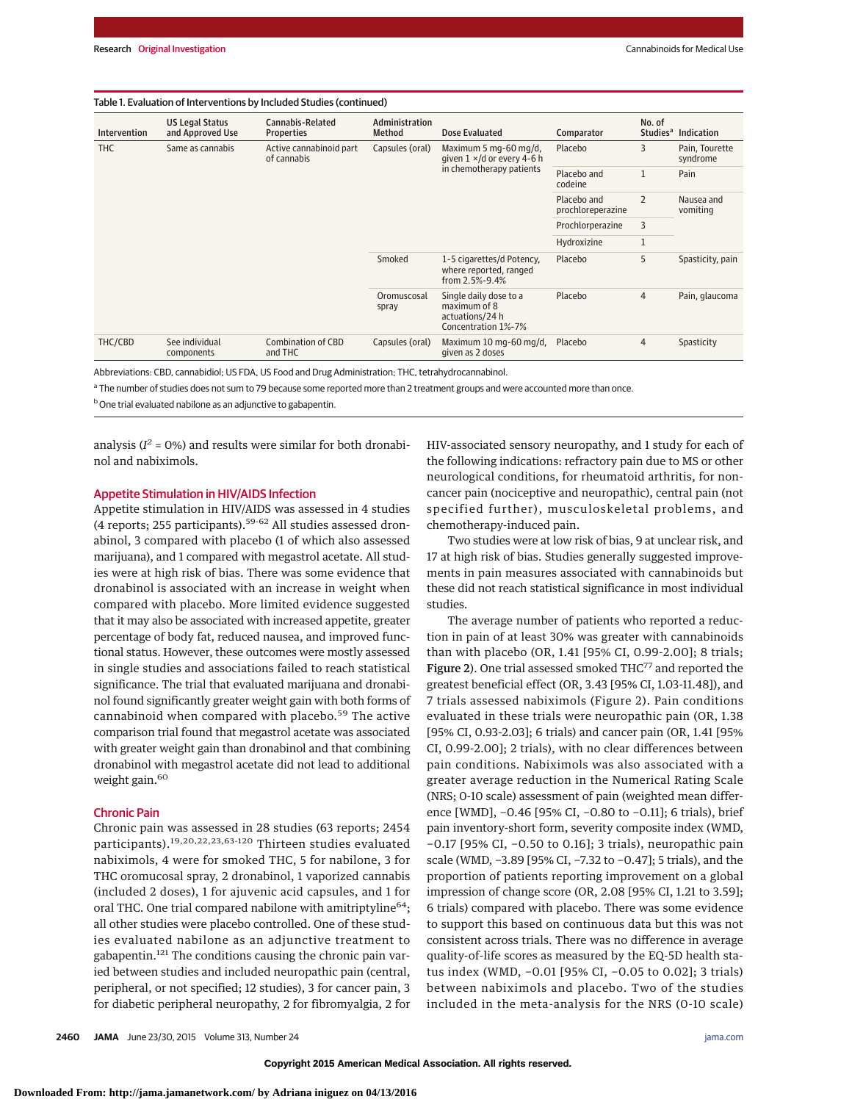#### Table 1. Evaluation of Interventions by Included Studies (continued)

| Intervention | <b>US Legal Status</b><br>and Approved Use | Cannabis-Related<br><b>Properties</b>  | Administration<br>Method | Dose Evaluated                                                                   | Comparator                       | No. of<br>Studies <sup>a</sup> | <b>Indication</b>          |
|--------------|--------------------------------------------|----------------------------------------|--------------------------|----------------------------------------------------------------------------------|----------------------------------|--------------------------------|----------------------------|
| <b>THC</b>   | Same as cannabis                           | Active cannabinoid part<br>of cannabis | Capsules (oral)          | Maximum 5 mg-60 mg/d,<br>given $1 \times$ /d or every 4-6 h                      | Placebo                          | 3                              | Pain, Tourette<br>syndrome |
|              |                                            |                                        |                          | in chemotherapy patients                                                         | Placebo and<br>codeine           | $\mathbf{1}$                   | Pain                       |
|              |                                            |                                        |                          |                                                                                  | Placebo and<br>prochloreperazine | $\overline{2}$                 | Nausea and<br>vomiting     |
|              |                                            |                                        |                          |                                                                                  | Prochlorperazine                 | 3                              |                            |
|              |                                            |                                        |                          |                                                                                  | Hydroxizine                      | $\mathbf{1}$                   |                            |
|              |                                            |                                        | Smoked                   | 1-5 cigarettes/d Potency,<br>where reported, ranged<br>from $2.5% - 9.4%$        | Placebo                          | 5                              | Spasticity, pain           |
|              |                                            |                                        | Oromuscosal<br>spray     | Single daily dose to a<br>maximum of 8<br>actuations/24 h<br>Concentration 1%-7% | Placebo                          | $\overline{4}$                 | Pain, glaucoma             |
| THC/CBD      | See individual<br>components               | Combination of CBD<br>and THC          | Capsules (oral)          | Maximum 10 mg-60 mg/d,<br>given as 2 doses                                       | Placebo                          | $\overline{4}$                 | Spasticity                 |

Abbreviations: CBD, cannabidiol; US FDA, US Food and Drug Administration; THC, tetrahydrocannabinol.

a The number of studies does not sum to 79 because some reported more than 2 treatment groups and were accounted more than once.

b One trial evaluated nabilone as an adjunctive to gabapentin.

analysis  $(I^2 = 0\%)$  and results were similar for both dronabinol and nabiximols.

## Appetite Stimulation in HIV/AIDS Infection

Appetite stimulation in HIV/AIDS was assessed in 4 studies (4 reports; 255 participants). $59-62$  All studies assessed dronabinol, 3 compared with placebo (1 of which also assessed marijuana), and 1 compared with megastrol acetate. All studies were at high risk of bias. There was some evidence that dronabinol is associated with an increase in weight when compared with placebo. More limited evidence suggested that it may also be associated with increased appetite, greater percentage of body fat, reduced nausea, and improved functional status. However, these outcomes were mostly assessed in single studies and associations failed to reach statistical significance. The trial that evaluated marijuana and dronabinol found significantly greater weight gain with both forms of cannabinoid when compared with placebo.<sup>59</sup> The active comparison trial found that megastrol acetate was associated with greater weight gain than dronabinol and that combining dronabinol with megastrol acetate did not lead to additional weight gain.<sup>60</sup>

## Chronic Pain

Chronic pain was assessed in 28 studies (63 reports; 2454 participants).19,20,22,23,63-120 Thirteen studies evaluated nabiximols, 4 were for smoked THC, 5 for nabilone, 3 for THC oromucosal spray, 2 dronabinol, 1 vaporized cannabis (included 2 doses), 1 for ajuvenic acid capsules, and 1 for oral THC. One trial compared nabilone with amitriptyline<sup>64</sup>; all other studies were placebo controlled. One of these studies evaluated nabilone as an adjunctive treatment to gabapentin.<sup>121</sup> The conditions causing the chronic pain varied between studies and included neuropathic pain (central, peripheral, or not specified; 12 studies), 3 for cancer pain, 3 for diabetic peripheral neuropathy, 2 for fibromyalgia, 2 for HIV-associated sensory neuropathy, and 1 study for each of the following indications: refractory pain due to MS or other neurological conditions, for rheumatoid arthritis, for noncancer pain (nociceptive and neuropathic), central pain (not specified further), musculoskeletal problems, and chemotherapy-induced pain.

Two studies were at low risk of bias, 9 at unclear risk, and 17 at high risk of bias. Studies generally suggested improvements in pain measures associated with cannabinoids but these did not reach statistical significance in most individual studies.

The average number of patients who reported a reduction in pain of at least 30% was greater with cannabinoids than with placebo (OR, 1.41 [95% CI, 0.99-2.00]; 8 trials; Figure 2). One trial assessed smoked THC<sup>77</sup> and reported the greatest beneficial effect (OR, 3.43 [95% CI, 1.03-11.48]), and 7 trials assessed nabiximols (Figure 2). Pain conditions evaluated in these trials were neuropathic pain (OR, 1.38 [95% CI, 0.93-2.03]; 6 trials) and cancer pain (OR, 1.41 [95% CI, 0.99-2.00]; 2 trials), with no clear differences between pain conditions. Nabiximols was also associated with a greater average reduction in the Numerical Rating Scale (NRS; 0-10 scale) assessment of pain (weighted mean difference [WMD], −0.46 [95% CI, −0.80 to −0.11]; 6 trials), brief pain inventory-short form, severity composite index (WMD, −0.17 [95% CI, −0.50 to 0.16]; 3 trials), neuropathic pain scale (WMD, −3.89 [95% CI, −7.32 to −0.47]; 5 trials), and the proportion of patients reporting improvement on a global impression of change score (OR, 2.08 [95% CI, 1.21 to 3.59]; 6 trials) compared with placebo. There was some evidence to support this based on continuous data but this was not consistent across trials. There was no difference in average quality-of-life scores as measured by the EQ-5D health status index (WMD, −0.01 [95% CI, −0.05 to 0.02]; 3 trials) between nabiximols and placebo. Two of the studies included in the meta-analysis for the NRS (0-10 scale)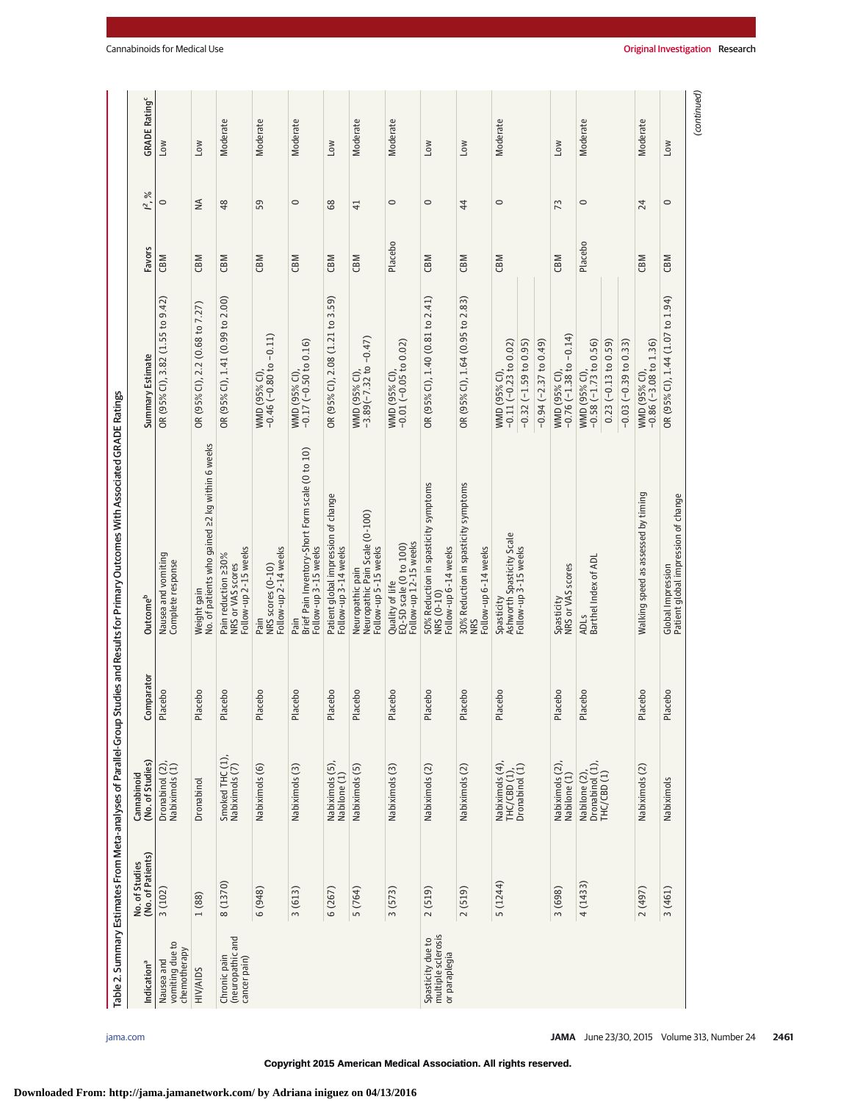| Indication <sup>a</sup>                                  | (No. of Patients)<br>No. of Studies | (No. of Studies)<br>Cannabinoid                    | mparator<br>වි     | Outcome <sup>b</sup>                                                                | Summary Estimate                                                                                            | Favors  | $\%$<br>$\tilde{f}$ | <b>GRADE Rating<sup>c</sup></b> |
|----------------------------------------------------------|-------------------------------------|----------------------------------------------------|--------------------|-------------------------------------------------------------------------------------|-------------------------------------------------------------------------------------------------------------|---------|---------------------|---------------------------------|
| vomiting due to<br>chemotherapy<br>Nausea and            | 3(102)                              | Dronabinol (2),<br>Nabiximols (1)                  | cebo<br>Pla        | Nausea and vomiting<br>Complete response                                            | OR (95% Cl), 3.82 (1.55 to 9.42)                                                                            | CBM     | 0                   | NOT                             |
| <b>HIV/AIDS</b>                                          | 1 (88)                              | Dronabinol                                         | cebo<br>Pla        | No. of patients who gained 22 kg within 6 weeks<br>Weight gain                      | OR (95% CI), 2.2 (0.68 to 7.27)                                                                             | CBM     | $\frac{4}{2}$       | <b>MOT</b>                      |
| (neuropathic and<br>Chronic pain<br>cancer pain)         | 8 (1370)                            | Smoked THC (1),<br>Nabiximols (7)                  | cebo<br>Pla        | Follow-up 2-15 weeks<br>Pain reduction 230%<br>NRS or VAS scores                    | OR (95% CI), 1.41 (0.99 to 2.00)                                                                            | CBM     | 48                  | Moderate                        |
|                                                          | 6(948)                              | Nabiximols (6)                                     | cebo<br>Pla        | Follow-up 2-14 weeks<br>NRS scores (0-10)<br>Pain                                   | WMD (95% Cl),<br>-0.46 (-0.80 to -0.11)                                                                     | CBM     | 59                  | Moderate                        |
|                                                          | 3(613)                              | Nabiximols (3)                                     | cebo<br><u>na</u>  | Brief Pain Inventory-Short Form scale (0 to 10)<br>Follow-up 3-15 weeks<br>Pain     | WMD (95% Cl),<br>-0.17 (-0.50 to 0.16)                                                                      | CBM     | $\circ$             | Moderate                        |
|                                                          | 6(267)                              | Nabiximols (5),<br>Nabilone (1)                    | cebo<br><u>Fla</u> | Patient global impression of change<br>Follow-up 3-14 weeks                         | OR (95% CI), 2.08 (1.21 to 3.59)                                                                            | CBM     | 68                  | <b>NOT</b>                      |
|                                                          | 5 (764)                             | Nabiximols (5)                                     | cebo<br>Pla        | Neuropathic pain<br>Neuropath <u>i</u> c Pain Scale (0-100)<br>Follow-up 5-15 weeks | WMD (95% Cl),<br>-3.89(-7.32 to -0.47)                                                                      | CBM     | $\overline{4}$      | Moderate                        |
|                                                          | 3(573)                              | Nabiximols (3)                                     | cebo<br>Pla        | Follow-up 12-15 weeks<br>EQ-5D scale (0 to 100)<br>Quality of life                  | WMD (95% Cl),<br>-0.01 (-0.05 to 0.02)                                                                      | Placebo | $\circ$             | Moderate                        |
| multiple sclerosis<br>Spasticity due to<br>or paraplegia | 2(519)                              | Nabiximols (2)                                     | cebo<br><b>Pla</b> | 50% Reduction in spasticity symptoms<br>Follow-up 6-14 weeks<br>NRS (0-10)          | OR (95% CI), 1.40 (0.81 to 2.41)                                                                            | CBM     | $\circ$             | MOT                             |
|                                                          | 2(519)                              | Nabiximols (2)                                     | cebo<br>Pla        | 30% Reduction in spasticity symptoms<br>Follow-up 6-14 weeks<br><b>NRS</b>          | OR (95% CI), 1.64 (0.95 to 2.83)                                                                            | CBM     | 44                  | <b>NO7</b>                      |
|                                                          | 5 (1244)                            | Nabiximols (4),<br>$THC(EB (1)),$ Dronabinol $(1)$ | cebo<br>Pla        | Ashworth Spasticity Scale<br>Follow-up 3-15 weeks<br>Spasticity                     | $-0.94$ ( $-2.37$ to 0.49)<br>$-0.11(-0.23$ to $0.02)$<br>$-0.32$ ( $-1.59$ to 0.95)<br><b>WMD (95% CI)</b> | CBM     | $\circ$             | Moderate                        |
|                                                          | 3 (698)                             | Nabiximols (2),<br>Nabilone (1)                    | cebo<br>Pla        | Spasticity<br>NRS or VAS scores                                                     | WMD (95% Cl),<br>-0.76 (-1.38 to -0.14)                                                                     | CBM     | 73                  | <b>NOT</b>                      |
|                                                          | 4(1433)                             | Nabilone (2),<br>Dronabinol (1),<br>THC/CBD (1)    | cebo<br>Pla        | ADLS<br>Barthel Index of ADL                                                        | $-0.58(-1.73$ to $0.56$ )<br>$-0.03(-0.39 to 0.33)$<br>$0.23$ (-0.13 to 0.59)<br>WMD (95% CI),              | Placebo | $\circ$             | Moderate                        |
|                                                          | (197)                               | Nabiximols (2)                                     | cebo<br>Pla        | Walking speed as assessed by timing                                                 | $-0.86$ ( $-3.08$ to 1.36)<br>WMD (95% CI)                                                                  | CBM     | 24                  | Moderate                        |
|                                                          | 3(461)                              | Nabiximols                                         | Placebo            | Global Impression<br>Patient global impression of change                            | OR (95% CI), 1.44 (1.07 to 1.94)                                                                            | CBM     | $\circ$             | MOT                             |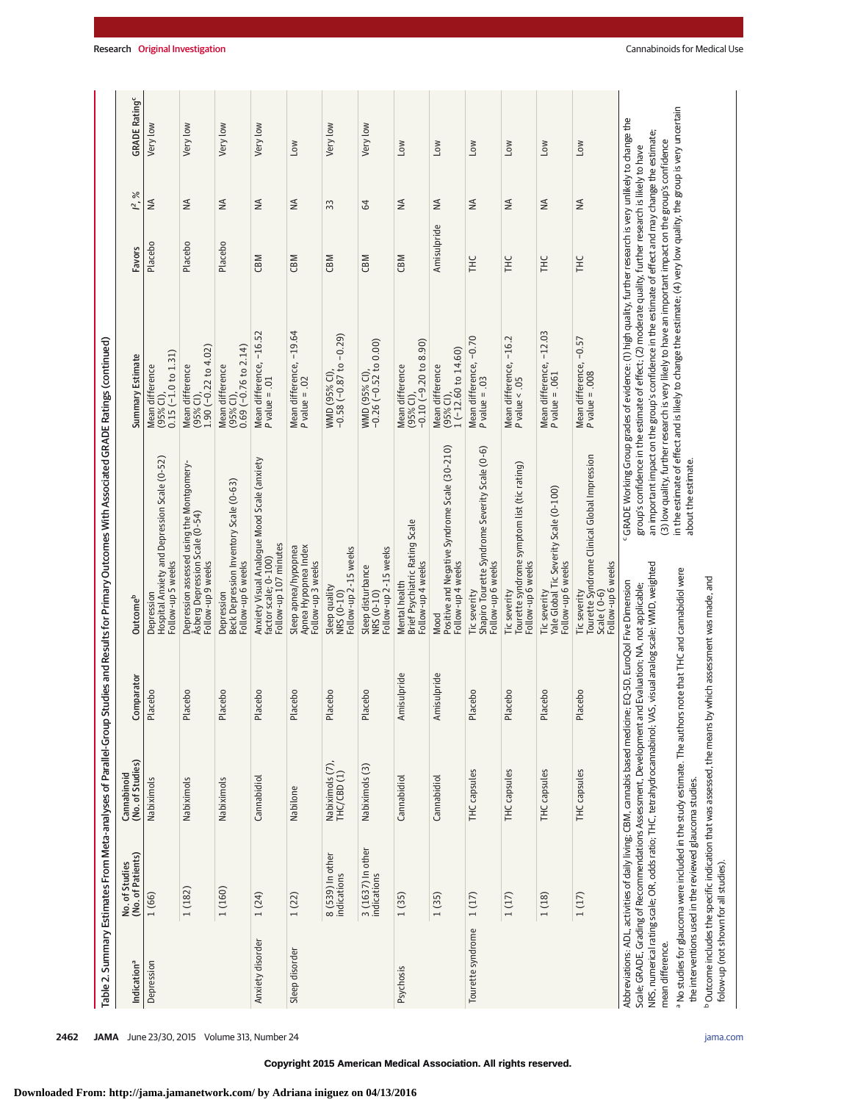|                         |                                                          |                                                                                                                                                                                                                                                                                                |             | Table 2. Summary Estimates From Meta-analyses of Parallel-Group Studies and Results for Primary Outcomes With Associated GRADE Ratings (continued) |                                                                                                                                                                                                                                                                                                                                                                                                                                        |             |                 |                     |
|-------------------------|----------------------------------------------------------|------------------------------------------------------------------------------------------------------------------------------------------------------------------------------------------------------------------------------------------------------------------------------------------------|-------------|----------------------------------------------------------------------------------------------------------------------------------------------------|----------------------------------------------------------------------------------------------------------------------------------------------------------------------------------------------------------------------------------------------------------------------------------------------------------------------------------------------------------------------------------------------------------------------------------------|-------------|-----------------|---------------------|
| Indication <sup>a</sup> | (No. of Patients)<br>No. of Studies                      | (No. of Studies)<br>Cannabinoid                                                                                                                                                                                                                                                                | Comparator  | Outcome <sup>b</sup>                                                                                                                               | Summary Estimate                                                                                                                                                                                                                                                                                                                                                                                                                       | Favors      | $\approx$<br>Ľ, | <b>GRADE Rating</b> |
| Depression              | 1(66)                                                    | Nabiximols                                                                                                                                                                                                                                                                                     | Placebo     | Hospital Anxiety and Depression Scale (0-52)<br>Follow-up 5 weeks<br>Depression                                                                    | $0.15$ (-1.0 to $1.31$ )<br>Mean difference<br>$(95%$ CI)                                                                                                                                                                                                                                                                                                                                                                              | Placebo     | $\leq$          | Very low            |
|                         | 1(182)                                                   | Nabiximols                                                                                                                                                                                                                                                                                     | Placebo     | Depression assessed using the Montgomery-<br>Åsberg Depression Scale (0-54)<br>Follow-up 9 weeks                                                   | $1.90 (-0.22 to 4.02)$<br>Mean difference<br>(95% CI),                                                                                                                                                                                                                                                                                                                                                                                 | Placebo     | $\leq$          | Very low            |
|                         | 1(160)                                                   | Nabiximols                                                                                                                                                                                                                                                                                     | Placebo     | Beck Depression Inventory Scale (0-63)<br>Follow-up 6 weeks<br>Depression                                                                          | $0.69$ ( $-0.76$ to $2.14$ )<br>Mean difference<br>$(95%$ CI)                                                                                                                                                                                                                                                                                                                                                                          | Placebo     | $\leq$          | Very low            |
| Anxiety disorder        | 1(24)                                                    | Cannabidiol                                                                                                                                                                                                                                                                                    | Placebo     | Anxiety Visual Analogue Mood Scale (anxiety<br>Follow-up 107 minutes<br>factor scale; 0-100)                                                       | Mean difference, -16.52<br>$P$ value = .01                                                                                                                                                                                                                                                                                                                                                                                             | CBM         | $\frac{4}{2}$   | Very low            |
| Sleep disorder          | 1(22)                                                    | Nabilone                                                                                                                                                                                                                                                                                       | Placebo     | Apnea Hypopnea Index<br>Sleep apnea/hypopnea<br>Follow-up 3 weeks                                                                                  | Mean difference, - 19.64<br>P value = .02                                                                                                                                                                                                                                                                                                                                                                                              | CBM         | $\frac{4}{2}$   | Low                 |
|                         | 8 (539) In other<br>indications                          | Nabiximols (7),<br>THC/CBD (1)                                                                                                                                                                                                                                                                 | Placebo     | Follow-up 2-15 weeks<br>Sleep quality<br>NRS (0-10)                                                                                                | WMD (95% Cl),<br>-0.58 (-0.87 to -0.29)                                                                                                                                                                                                                                                                                                                                                                                                | CBM         | 33              | Very low            |
|                         | 3 (1637) In other<br>indications                         | Nabiximols <sub>(3)</sub>                                                                                                                                                                                                                                                                      | Placebo     | Follow-up 2-15 weeks<br>Sleep disturbance<br>NRS (0-10)                                                                                            | WMD (95% Cl),<br>-0.26 (-0.52 to 0.00)                                                                                                                                                                                                                                                                                                                                                                                                 | CBM         | 64              | Very low            |
| Psychosis               | 1(35)                                                    | Cannabidiol                                                                                                                                                                                                                                                                                    | Amisulpride | Brief Psychiatric Rating Scale<br>Follow-up 4 weeks<br>Mental health                                                                               | $-0.10(-9.20 to 8.90)$<br>Mean difference<br>$(95%$ CI)                                                                                                                                                                                                                                                                                                                                                                                | CBM         | $\frac{4}{2}$   | <b>NO7</b>          |
|                         | 1(35)                                                    | Cannabidiol                                                                                                                                                                                                                                                                                    | Amisulpride | Positive and Negative Syndrome Scale (30-210)<br>Follow-up 4 weeks<br>Mood                                                                         | $1(-12.60 \text{ to } 14.60)$<br>Mean difference<br>$(95%$ CI)                                                                                                                                                                                                                                                                                                                                                                         | Amisulpride | $\frac{4}{2}$   | <b>MOT</b>          |
| Tourette syndrome       | 1(17)                                                    | THC capsules                                                                                                                                                                                                                                                                                   | Placebo     | Shapiro Tourette Syndrome Severity Scale (0-6)<br>Follow-up 6 weeks<br>Tic severity                                                                | Mean difference, -0.70<br>$P$ value = .03                                                                                                                                                                                                                                                                                                                                                                                              | Ξ           | $\frac{4}{2}$   | MOT                 |
|                         | 1(17)                                                    | THC capsules                                                                                                                                                                                                                                                                                   | Placebo     | Tourette syndrome symptom list (tic rating)<br>Follow-up 6 weeks<br>Tic severity                                                                   | Mean difference, −16.2<br>P value < .05                                                                                                                                                                                                                                                                                                                                                                                                | <b>HLC</b>  | $\leq$          | L <sub>ow</sub>     |
|                         | 1(18)                                                    | THC capsules                                                                                                                                                                                                                                                                                   | Placebo     | Yale Global Tic Severity Scale (0-100)<br>Follow-up 6 weeks<br>Tic severity                                                                        | Mean difference, -12.03<br>$P$ value = .061                                                                                                                                                                                                                                                                                                                                                                                            | <b>HIL</b>  | $\frac{4}{2}$   | Mo7                 |
|                         | 1(17)                                                    | THC capsules                                                                                                                                                                                                                                                                                   | Placebo     | Tourette Syndrome Clinical Global Impression<br>Scale ( 0-6)<br>Follow-up 6 weeks<br>Tic severity                                                  | Mean difference, -0.57<br>P value = .008                                                                                                                                                                                                                                                                                                                                                                                               | THC         | $\leq$          | Low                 |
| mean difference.        |                                                          | Abbreviations: ADL, activities of daily living; CBM, cannabis based medicine; EQ-5D, EuroQol Five Dimension<br>Scale: GRADE, Grading of Recommendations Assessment, Development and Evaluation; NA, not applicable;<br>NRS, numerical rating scale; OR, odds ratio; THC, tetrahydrocannabinol; |             | VAS, visual analog scale; WMD, weighted                                                                                                            | FGRADE Working Group grades of evidence: (1) high quality, further research is very unlikely to change the<br>an important impact on the group's confidence in the estimate of effect and may change the estimate.<br>(3) low quality, further research is very likely to have an important impact on the group's confidence<br>group's confidence in the estimate of effect; (2) moderate quality, further research is likely to have |             |                 |                     |
|                         | the interventions used in the reviewed glaucoma studies. | a No studies for glaucoma were included in the study estimate. The authors note that THC and cannabidiol were                                                                                                                                                                                  |             | about the estimate.                                                                                                                                | in the estimate of effect and is likely to change the estimate; (4) very low quality, the group is very uncertain                                                                                                                                                                                                                                                                                                                      |             |                 |                     |

ating<sup>c</sup>

folow-up (not shown for all studies).

 $^{\circ}$ Outcome includes the specific indication that was assessed, the means by which assessment was made, and

<sup>b</sup> Outcome includes the specific indication that was assessed, the means by which assessment was made, and<br>folow-up (not shown for all studies).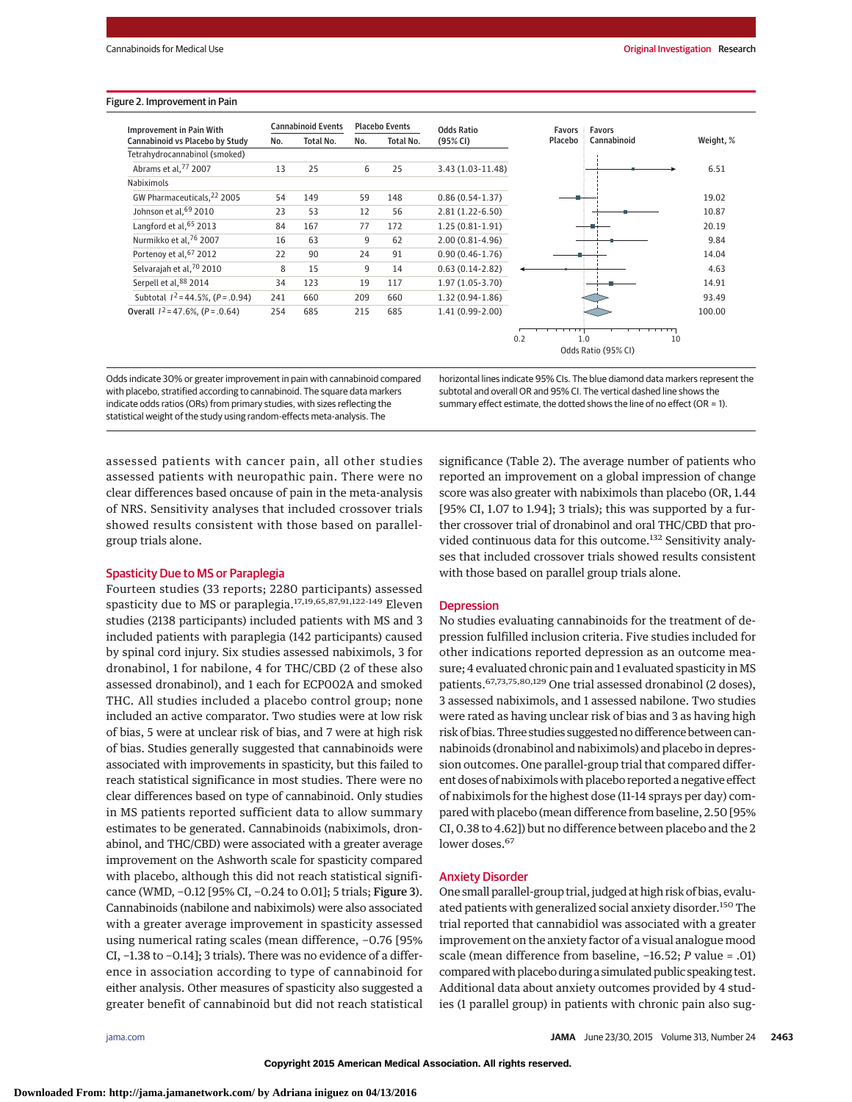#### Figure 2. Improvement in Pain

| Improvement in Pain With            | <b>Cannabinoid Events</b> |           |     | <b>Placebo Events</b> | <b>Odds Ratio</b>   | <b>Favors</b> | Favors              |           |
|-------------------------------------|---------------------------|-----------|-----|-----------------------|---------------------|---------------|---------------------|-----------|
| Cannabinoid vs Placebo by Study     | No.                       | Total No. | No. | Total No.             | (95% CI)            | Placebo       | Cannabinoid         | Weight, % |
| Tetrahydrocannabinol (smoked)       |                           |           |     |                       |                     |               |                     |           |
| Abrams et al, 77 2007               | 13                        | 25        | 6   | 25                    | 3.43 (1.03-11.48)   |               |                     | 6.51      |
| Nabiximols                          |                           |           |     |                       |                     |               |                     |           |
| GW Pharmaceuticals, 22 2005         | 54                        | 149       | 59  | 148                   | $0.86(0.54-1.37)$   |               |                     | 19.02     |
| Johnson et al, 69 2010              | 23                        | 53        | 12  | 56                    | $2.81(1.22-6.50)$   |               |                     | 10.87     |
| Langford et al, 65 2013             | 84                        | 167       | 77  | 172                   | $1.25(0.81-1.91)$   |               |                     | 20.19     |
| Nurmikko et al. <sup>76</sup> 2007  | 16                        | 63        | 9   | 62                    | $2.00(0.81 - 4.96)$ |               |                     | 9.84      |
| Portenoy et al, 67 2012             | 22                        | 90        | 24  | 91                    | $0.90(0.46-1.76)$   |               |                     | 14.04     |
| Selvarajah et al, 70 2010           | 8                         | 15        | 9   | 14                    | $0.63(0.14-2.82)$   |               |                     | 4.63      |
| Serpell et al, 88 2014              | 34                        | 123       | 19  | 117                   | $1.97(1.05-3.70)$   |               |                     | 14.91     |
| Subtotal $1^2$ = 44.5%, (P = .0.94) | 241                       | 660       | 209 | 660                   | $1.32(0.94-1.86)$   |               |                     | 93.49     |
| Overall $1^2$ = 47.6%, (P = .0.64)  | 254                       | 685       | 215 | 685                   | $1.41(0.99-2.00)$   |               |                     | 100.00    |
|                                     |                           |           |     |                       |                     |               |                     |           |
|                                     |                           |           |     |                       |                     | 0.2           | 1.0<br>10           |           |
|                                     |                           |           |     |                       |                     |               | Odds Ratio (95% CI) |           |

Odds indicate 30% or greater improvement in pain with cannabinoid compared with placebo, stratified according to cannabinoid. The square data markers indicate odds ratios (ORs) from primary studies, with sizes reflecting the statistical weight of the study using random-effects meta-analysis. The

horizontal lines indicate 95% CIs. The blue diamond data markers represent the subtotal and overall OR and 95% CI. The vertical dashed line shows the summary effect estimate, the dotted shows the line of no effect (OR = 1).

assessed patients with cancer pain, all other studies assessed patients with neuropathic pain. There were no clear differences based oncause of pain in the meta-analysis of NRS. Sensitivity analyses that included crossover trials showed results consistent with those based on parallelgroup trials alone.

## Spasticity Due to MS or Paraplegia

Fourteen studies (33 reports; 2280 participants) assessed spasticity due to MS or paraplegia.17,19,65,87,91,122-149 Eleven studies (2138 participants) included patients with MS and 3 included patients with paraplegia (142 participants) caused by spinal cord injury. Six studies assessed nabiximols, 3 for dronabinol, 1 for nabilone, 4 for THC/CBD (2 of these also assessed dronabinol), and 1 each for ECP002A and smoked THC. All studies included a placebo control group; none included an active comparator. Two studies were at low risk of bias, 5 were at unclear risk of bias, and 7 were at high risk of bias. Studies generally suggested that cannabinoids were associated with improvements in spasticity, but this failed to reach statistical significance in most studies. There were no clear differences based on type of cannabinoid. Only studies in MS patients reported sufficient data to allow summary estimates to be generated. Cannabinoids (nabiximols, dronabinol, and THC/CBD) were associated with a greater average improvement on the Ashworth scale for spasticity compared with placebo, although this did not reach statistical significance (WMD, −0.12 [95% CI, −0.24 to 0.01]; 5 trials; Figure 3). Cannabinoids (nabilone and nabiximols) were also associated with a greater average improvement in spasticity assessed using numerical rating scales (mean difference, −0.76 [95% CI, −1.38 to −0.14]; 3 trials). There was no evidence of a difference in association according to type of cannabinoid for either analysis. Other measures of spasticity also suggested a greater benefit of cannabinoid but did not reach statistical

significance (Table 2). The average number of patients who reported an improvement on a global impression of change score was also greater with nabiximols than placebo (OR, 1.44 [95% CI, 1.07 to 1.94]; 3 trials); this was supported by a further crossover trial of dronabinol and oral THC/CBD that provided continuous data for this outcome.<sup>132</sup> Sensitivity analyses that included crossover trials showed results consistent with those based on parallel group trials alone.

#### **Depression**

No studies evaluating cannabinoids for the treatment of depression fulfilled inclusion criteria. Five studies included for other indications reported depression as an outcome measure; 4 evaluated chronic pain and 1 evaluated spasticity in MS patients.67,73,75,80,129 One trial assessed dronabinol (2 doses), 3 assessed nabiximols, and 1 assessed nabilone. Two studies were rated as having unclear risk of bias and 3 as having high risk of bias. Three studies suggested no difference between cannabinoids (dronabinol and nabiximols) and placebo in depression outcomes. One parallel-group trial that compared different doses of nabiximols with placebo reported a negative effect of nabiximols for the highest dose (11-14 sprays per day) compared with placebo (mean difference from baseline, 2.50 [95% CI, 0.38 to 4.62]) but no difference between placebo and the 2 lower doses.<sup>67</sup>

#### Anxiety Disorder

One small parallel-group trial, judged at high risk of bias, evaluated patients with generalized social anxiety disorder.<sup>150</sup> The trial reported that cannabidiol was associated with a greater improvement on the anxiety factor of a visual analogue mood scale (mean difference from baseline, −16.52; *P* value = .01) comparedwith placebo during a simulated public speaking test. Additional data about anxiety outcomes provided by 4 studies (1 parallel group) in patients with chronic pain also sug-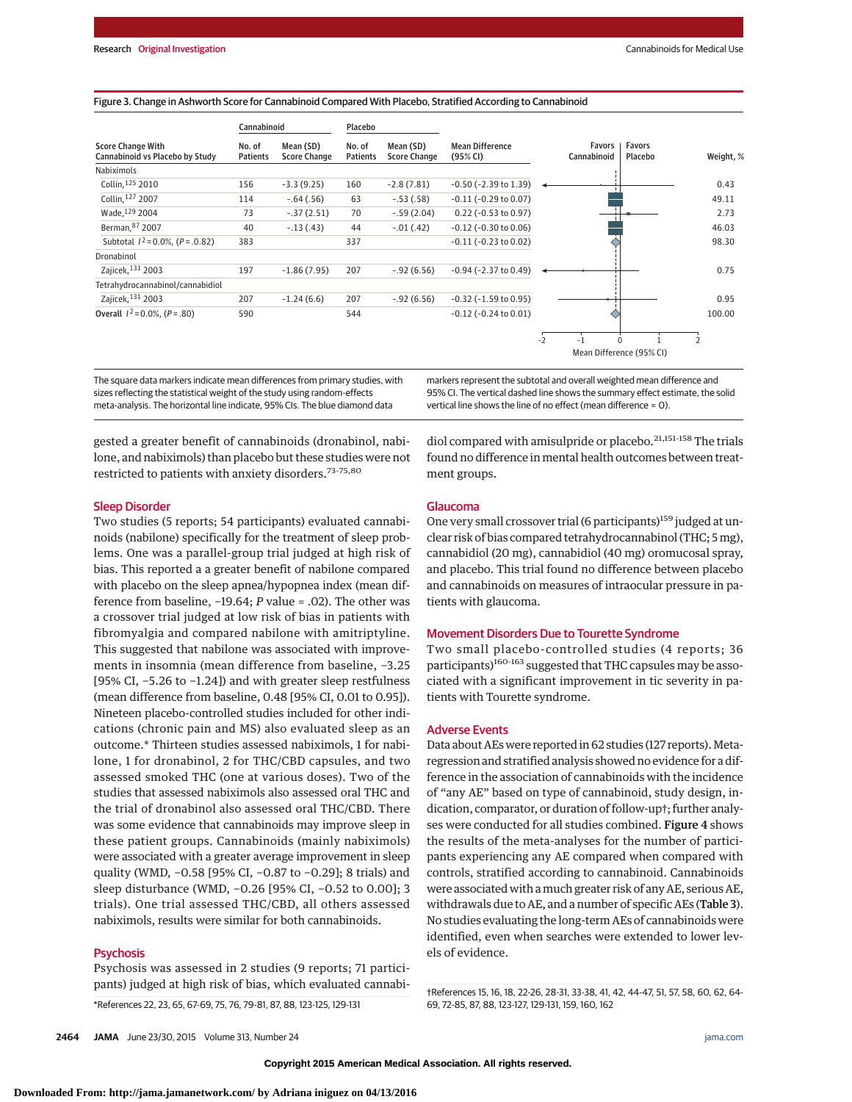#### Figure 3. Change in Ashworth Score for Cannabinoid Compared With Placebo, Stratified According to Cannabinoid

|                                                             | Cannabinoid               |                                  | Placebo            |                                  |                                    |      |                          |                   |           |
|-------------------------------------------------------------|---------------------------|----------------------------------|--------------------|----------------------------------|------------------------------------|------|--------------------------|-------------------|-----------|
| <b>Score Change With</b><br>Cannabinoid vs Placebo by Study | No. of<br><b>Patients</b> | Mean (SD)<br><b>Score Change</b> | No. of<br>Patients | Mean (SD)<br><b>Score Change</b> | <b>Mean Difference</b><br>(95% CI) |      | Favors<br>Cannabinoid    | Favors<br>Placebo | Weight, % |
| Nabiximols                                                  |                           |                                  |                    |                                  |                                    |      |                          |                   |           |
| Collin, 125 2010                                            | 156                       | $-3.3(9.25)$                     | 160                | $-2.8(7.81)$                     | $-0.50$ ( $-2.39$ to $1.39$ )      |      |                          |                   | 0.43      |
| Collin, 127 2007                                            | 114                       | $-.64(.56)$                      | 63                 | $-.53(.58)$                      | $-0.11$ ( $-0.29$ to $0.07$ )      |      |                          |                   | 49.11     |
| Wade, 129 2004                                              | 73                        | $-.37(2.51)$                     | 70                 | $-.59(2.04)$                     | $0.22$ (-0.53 to 0.97)             |      |                          |                   | 2.73      |
| Berman, 87 2007                                             | 40                        | $-.13(.43)$                      | 44                 | $-.01(.42)$                      | $-0.12$ ( $-0.30$ to $0.06$ )      |      |                          |                   | 46.03     |
| Subtotal $1^2$ = 0.0%, (P = .0.82)                          | 383                       |                                  | 337                |                                  | $-0.11$ ( $-0.23$ to $0.02$ )      |      |                          |                   | 98.30     |
| Dronabinol                                                  |                           |                                  |                    |                                  |                                    |      |                          |                   |           |
| Zajicek, 131 2003                                           | 197                       | $-1.86(7.95)$                    | 207                | $-.92(6.56)$                     | $-0.94$ ( $-2.37$ to $0.49$ )      |      |                          |                   | 0.75      |
| Tetrahydrocannabinol/cannabidiol                            |                           |                                  |                    |                                  |                                    |      |                          |                   |           |
| Zajicek, 131 2003                                           | 207                       | $-1.24(6.6)$                     | 207                | $-.92(6.56)$                     | $-0.32$ ( $-1.59$ to 0.95)         |      |                          |                   | 0.95      |
| Overall $1^2$ = 0.0%, $(P = .80)$                           | 590                       |                                  | 544                |                                  | $-0.12$ ( $-0.24$ to $0.01$ )      |      |                          |                   | 100.00    |
|                                                             |                           |                                  |                    |                                  |                                    | $-2$ | $-1$<br>$\Omega$         |                   |           |
|                                                             |                           |                                  |                    |                                  |                                    |      | Mean Difference (95% CI) |                   |           |

The square data markers indicate mean differences from primary studies, with sizes reflecting the statistical weight of the study using random-effects meta-analysis. The horizontal line indicate, 95% CIs. The blue diamond data

markers represent the subtotal and overall weighted mean difference and 95% CI. The vertical dashed line shows the summary effect estimate, the solid vertical line shows the line of no effect (mean difference = 0).

gested a greater benefit of cannabinoids (dronabinol, nabilone, and nabiximols) than placebo but these studies were not restricted to patients with anxiety disorders.<sup>73-75,80</sup>

#### Sleep Disorder

Two studies (5 reports; 54 participants) evaluated cannabinoids (nabilone) specifically for the treatment of sleep problems. One was a parallel-group trial judged at high risk of bias. This reported a a greater benefit of nabilone compared with placebo on the sleep apnea/hypopnea index (mean difference from baseline, −19.64; *P* value = .02). The other was a crossover trial judged at low risk of bias in patients with fibromyalgia and compared nabilone with amitriptyline. This suggested that nabilone was associated with improvements in insomnia (mean difference from baseline, −3.25 [95% CI, −5.26 to −1.24]) and with greater sleep restfulness (mean difference from baseline, 0.48 [95% CI, 0.01 to 0.95]). Nineteen placebo-controlled studies included for other indications (chronic pain and MS) also evaluated sleep as an outcome.\* Thirteen studies assessed nabiximols, 1 for nabilone, 1 for dronabinol, 2 for THC/CBD capsules, and two assessed smoked THC (one at various doses). Two of the studies that assessed nabiximols also assessed oral THC and the trial of dronabinol also assessed oral THC/CBD. There was some evidence that cannabinoids may improve sleep in these patient groups. Cannabinoids (mainly nabiximols) were associated with a greater average improvement in sleep quality (WMD, -0.58 [95% CI, -0.87 to -0.29]; 8 trials) and sleep disturbance (WMD, −0.26 [95% CI, −0.52 to 0.00]; 3 trials). One trial assessed THC/CBD, all others assessed nabiximols, results were similar for both cannabinoids.

## **Psychosis**

Psychosis was assessed in 2 studies (9 reports; 71 participants) judged at high risk of bias, which evaluated cannabi-

\*References 22, 23, 65, 67-69, 75, 76, 79-81, 87, 88, 123-125, 129-131

diol compared with amisulpride or placebo.<sup>21,151-158</sup> The trials found no difference in mental health outcomes between treatment groups.

#### Glaucoma

One very small crossover trial (6 participants)<sup>159</sup> judged at unclear risk of bias compared tetrahydrocannabinol (THC; 5 mg), cannabidiol (20 mg), cannabidiol (40 mg) oromucosal spray, and placebo. This trial found no difference between placebo and cannabinoids on measures of intraocular pressure in patients with glaucoma.

## Movement Disorders Due to Tourette Syndrome

Two small placebo-controlled studies (4 reports; 36 participants)<sup>160-163</sup> suggested that THC capsules may be associated with a significant improvement in tic severity in patients with Tourette syndrome.

#### Adverse Events

Data about AEs were reported in 62 studies (127 reports). Metaregression and stratified analysis showed no evidence for a difference in the association of cannabinoids with the incidence of "any AE" based on type of cannabinoid, study design, indication, comparator, or duration of follow-up†; further analyses were conducted for all studies combined. Figure 4 shows the results of the meta-analyses for the number of participants experiencing any AE compared when compared with controls, stratified according to cannabinoid. Cannabinoids were associated with amuch greater risk of any AE, serious AE, withdrawals due to AE, and a number of specific AEs (Table 3). No studies evaluating the long-term AEs of cannabinoids were identified, even when searches were extended to lower levels of evidence.

†References 15, 16, 18, 22-26, 28-31, 33-38, 41, 42, 44-47, 51, 57, 58, 60, 62, 64- 69, 72-85, 87, 88, 123-127, 129-131, 159, 160, 162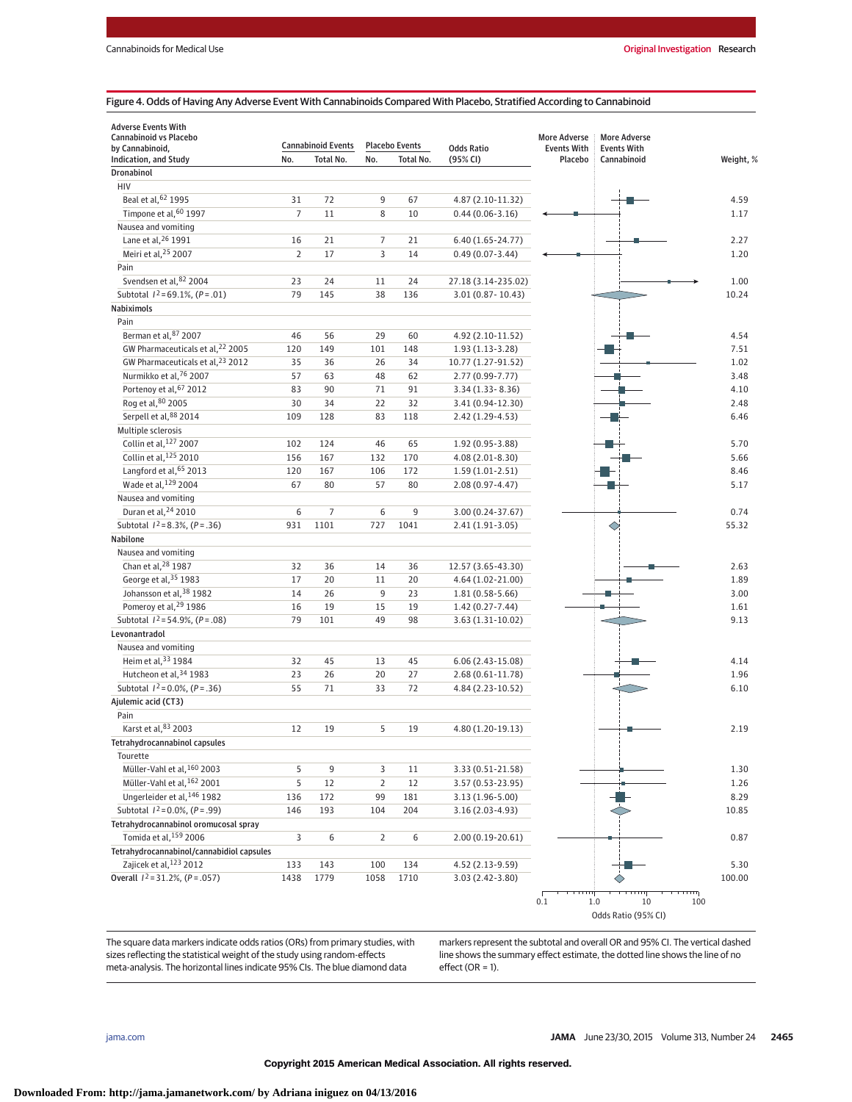#### Figure 4. Odds of Having Any Adverse Event With Cannabinoids Compared With Placebo, Stratified According to Cannabinoid

| <b>Adverse Events With</b>                   |                |                           |                |                       |                      |                                           |                                           |            |
|----------------------------------------------|----------------|---------------------------|----------------|-----------------------|----------------------|-------------------------------------------|-------------------------------------------|------------|
| Cannabinoid vs Placebo<br>by Cannabinoid,    |                | <b>Cannabinoid Events</b> |                | <b>Placebo Events</b> | <b>Odds Ratio</b>    | <b>More Adverse</b><br><b>Events With</b> | <b>More Adverse</b><br><b>Events With</b> |            |
| <b>Indication, and Study</b>                 | No.            | Total No.                 | No.            | Total No.             | (95% CI)             | Placebo                                   | Cannabinoid                               | Weight, %  |
| <b>Dronabinol</b>                            |                |                           |                |                       |                      |                                           |                                           |            |
| HIV                                          |                |                           |                |                       |                      |                                           |                                           |            |
| Beal et al, 62 1995                          | 31             | 72                        | 9              | 67                    | 4.87 (2.10-11.32)    |                                           |                                           | 4.59       |
| Timpone et al, 60 1997                       | $\overline{7}$ | 11                        | 8              | 10                    | $0.44(0.06 - 3.16)$  |                                           |                                           | 1.17       |
| Nausea and vomiting                          |                |                           |                |                       |                      |                                           |                                           |            |
| Lane et al, 26 1991                          | 16             | 21                        | 7              | 21                    | $6.40(1.65 - 24.77)$ |                                           |                                           | 2.27       |
| Meiri et al, 25 2007                         | $\overline{2}$ | 17                        | 3              | 14                    | $0.49(0.07 - 3.44)$  |                                           |                                           | 1.20       |
| Pain                                         |                |                           |                |                       |                      |                                           |                                           |            |
| Svendsen et al, 82 2004                      | 23             | 24                        | 11             | 24                    | 27.18 (3.14-235.02)  |                                           |                                           | 1.00       |
| Subtotal $1^2$ =69.1%, (P = .01)             | 79             | 145                       | 38             | 136                   | 3.01 (0.87 - 10.43)  |                                           |                                           | 10.24      |
| Nabiximols                                   |                |                           |                |                       |                      |                                           |                                           |            |
| Pain                                         |                |                           |                |                       |                      |                                           |                                           |            |
| Berman et al, 87 2007                        | 46             | 56                        | 29             | 60                    | 4.92 (2.10-11.52)    |                                           |                                           | 4.54       |
| GW Pharmaceuticals et al, 22 2005            | 120            | 149                       | 101            | 148                   | $1.93(1.13-3.28)$    |                                           |                                           | 7.51       |
| GW Pharmaceuticals et al, <sup>23</sup> 2012 | 35             | 36                        | 26             | 34                    | 10.77 (1.27-91.52)   |                                           |                                           |            |
| Nurmikko et al, 76 2007                      |                |                           |                |                       |                      |                                           |                                           | 1.02       |
|                                              | 57             | 63                        | 48             | 62                    | 2.77 (0.99-7.77)     |                                           |                                           | 3.48       |
| Portenoy et al, 67 2012                      | 83             | 90                        | 71             | 91                    | $3.34(1.33 - 8.36)$  |                                           |                                           | 4.10       |
| Rog et al, 80 2005                           | 30             | 34                        | 22             | 32                    | 3.41 (0.94-12.30)    |                                           |                                           | 2.48       |
| Serpell et al, 88 2014                       | 109            | 128                       | 83             | 118                   | 2.42 (1.29-4.53)     |                                           |                                           | 6.46       |
| Multiple sclerosis                           |                |                           |                |                       |                      |                                           |                                           |            |
| Collin et al, 127 2007                       | 102            | 124                       | 46             | 65                    | 1.92 (0.95-3.88)     |                                           |                                           | 5.70       |
| Collin et al. <sup>125</sup> 2010            | 156            | 167                       | 132            | 170                   | 4.08 (2.01-8.30)     |                                           |                                           | 5.66       |
| Langford et al, 65 2013                      | 120            | 167                       | 106            | 172                   | $1.59(1.01-2.51)$    |                                           |                                           | 8.46       |
| Wade et al, 129 2004                         | 67             | 80                        | 57             | 80                    | 2.08 (0.97-4.47)     |                                           |                                           | 5.17       |
| Nausea and vomiting                          |                |                           |                |                       |                      |                                           |                                           |            |
| Duran et al, 24 2010                         | 6              | 7                         | 6              | 9                     | 3.00 (0.24-37.67)    |                                           |                                           | 0.74       |
| Subtotal $1^2 = 8.3\%$ , $(P = .36)$         | 931            | 1101                      | 727            | 1041                  | 2.41 (1.91-3.05)     |                                           |                                           | 55.32      |
| Nabilone                                     |                |                           |                |                       |                      |                                           |                                           |            |
| Nausea and vomiting                          |                |                           |                |                       |                      |                                           |                                           |            |
| Chan et al, 28 1987                          | 32             | 36                        | 14             | 36                    | 12.57 (3.65-43.30)   |                                           |                                           | 2.63       |
| George et al, 35 1983                        | 17             | 20                        | 11             | 20                    | 4.64 (1.02-21.00)    |                                           |                                           | 1.89       |
| Johansson et al, 38 1982                     | 14             | 26                        | 9              | 23                    | $1.81(0.58-5.66)$    |                                           |                                           | 3.00       |
| Pomeroy et al, <sup>29</sup> 1986            | 16             | 19                        | 15             | 19                    | $1.42(0.27 - 7.44)$  |                                           |                                           | 1.61       |
| Subtotal $1^2$ = 54.9%, (P = .08)            | 79             | 101                       | 49             | 98                    | 3.63 (1.31-10.02)    |                                           |                                           | 9.13       |
| Levonantradol                                |                |                           |                |                       |                      |                                           |                                           |            |
| Nausea and vomiting                          |                |                           |                |                       |                      |                                           |                                           |            |
| Heim et al, 33 1984                          | 32             | 45                        | 13             | 45                    | $6.06(2.43-15.08)$   |                                           |                                           | 4.14       |
| Hutcheon et al, 34 1983                      | 23             | 26                        | 20             | 27                    | 2.68 (0.61-11.78)    |                                           |                                           | 1.96       |
| Subtotal $I^2 = 0.0\%$ , $(P = .36)$         | 55             | 71                        | 33             | 72                    | 4.84 (2.23-10.52)    |                                           |                                           | 6.10       |
| Ajulemic acid (CT3)                          |                |                           |                |                       |                      |                                           |                                           |            |
| Pain                                         |                |                           |                |                       |                      |                                           |                                           |            |
| Karst et al, 83 2003                         | 12             | 19                        | 5              | 19                    | 4.80 (1.20-19.13)    |                                           |                                           | 2.19       |
| Tetrahydrocannabinol capsules                |                |                           |                |                       |                      |                                           |                                           |            |
| Tourette                                     |                |                           |                |                       |                      |                                           |                                           |            |
| Müller-Vahl et al, 160 2003                  | 5              | 9                         | 3              | 11                    | 3.33 (0.51-21.58)    |                                           |                                           | 1.30       |
| Müller-Vahl et al, 162 2001                  | 5              | 12                        | $\overline{2}$ | 12                    | 3.57 (0.53-23.95)    |                                           |                                           | 1.26       |
| Ungerleider et al, 146 1982                  | 136            | 172                       | 99             | 181                   | 3.13 (1.96-5.00)     |                                           |                                           | 8.29       |
| Subtotal $I^2 = 0.0\%$ , $(P = .99)$         | 146            | 193                       | 104            | 204                   | 3.16 (2.03-4.93)     |                                           |                                           | 10.85      |
| Tetrahydrocannabinol oromucosal spray        |                |                           |                |                       |                      |                                           |                                           |            |
| Tomida et al. <sup>159</sup> 2006            | 3              | 6                         | $\overline{2}$ | 6                     | $2.00(0.19 - 20.61)$ |                                           |                                           | 0.87       |
| Tetrahydrocannabinol/cannabidiol capsules    |                |                           |                |                       |                      |                                           |                                           |            |
| Zajicek et al, 123 2012                      |                |                           |                |                       |                      |                                           |                                           |            |
| Overall $1^2$ = 31.2%, (P = .057)            | 133            | 143                       | 100            | 134                   | 4.52 (2.13-9.59)     |                                           |                                           | 5.30       |
|                                              | 1438           | 1779                      | 1058           | 1710                  | 3.03 (2.42-3.80)     |                                           |                                           | 100.00     |
|                                              |                |                           |                |                       |                      | 0.1                                       | 10<br>1.0                                 | गगग<br>100 |

The square data markers indicate odds ratios (ORs) from primary studies, with sizes reflecting the statistical weight of the study using random-effects meta-analysis. The horizontal lines indicate 95% CIs. The blue diamond data

markers represent the subtotal and overall OR and 95% CI. The vertical dashed line shows the summary effect estimate, the dotted line shows the line of no  $effect (OR = 1).$ 

Odds Ratio (95% CI)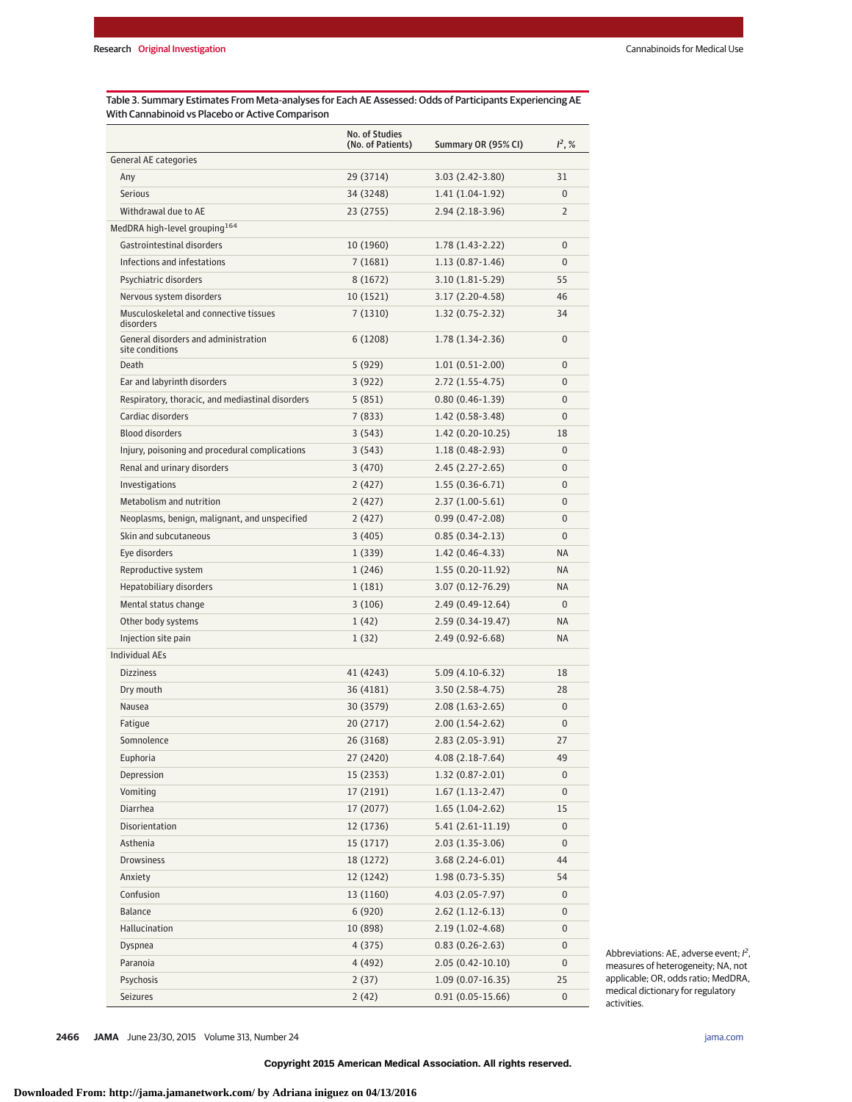Table 3. Summary Estimates From Meta-analyses for Each AE Assessed: Odds of Participants Experiencing AE With Cannabinoid vs Placebo or Active Comparison

|                                                         | No. of Studies<br>(No. of Patients) | Summary OR (95% CI)  | $I^2, %$       |
|---------------------------------------------------------|-------------------------------------|----------------------|----------------|
| <b>General AE categories</b>                            |                                     |                      |                |
| Any                                                     | 29 (3714)                           | 3.03 (2.42-3.80)     | 31             |
| <b>Serious</b>                                          | 34 (3248)                           | $1.41(1.04-1.92)$    | $\Omega$       |
| Withdrawal due to AE                                    | 23 (2755)                           | $2.94(2.18-3.96)$    | $\overline{2}$ |
| MedDRA high-level grouping <sup>164</sup>               |                                     |                      |                |
| Gastrointestinal disorders                              | 10 (1960)                           | $1.78(1.43-2.22)$    | $\mathbf{0}$   |
| Infections and infestations                             | 7(1681)                             | $1.13(0.87-1.46)$    | $\Omega$       |
| Psychiatric disorders                                   | 8 (1672)                            | $3.10(1.81-5.29)$    | 55             |
| Nervous system disorders                                | 10(1521)                            | $3.17(2.20-4.58)$    | 46             |
| Musculoskeletal and connective tissues<br>disorders     | 7(1310)                             | $1.32(0.75-2.32)$    | 34             |
| General disorders and administration<br>site conditions | 6(1208)                             | $1.78(1.34-2.36)$    | $\Omega$       |
| Death                                                   | 5 (929)                             | $1.01(0.51-2.00)$    | 0              |
| Ear and labyrinth disorders                             | 3 (922)                             | $2.72(1.55-4.75)$    | $\Omega$       |
| Respiratory, thoracic, and mediastinal disorders        | 5(851)                              | $0.80(0.46-1.39)$    | 0              |
| Cardiac disorders                                       | 7(833)                              | $1.42(0.58-3.48)$    | 0              |
| <b>Blood disorders</b>                                  | 3(543)                              | $1.42(0.20-10.25)$   | 18             |
| Injury, poisoning and procedural complications          | 3(543)                              | $1.18(0.48-2.93)$    | $\mathbf{0}$   |
| Renal and urinary disorders                             | 3(470)                              | $2.45(2.27-2.65)$    | $\Omega$       |
| Investigations                                          | 2 (427)                             | $1.55(0.36-6.71)$    | $\Omega$       |
| Metabolism and nutrition                                | 2(427)                              | $2.37(1.00-5.61)$    | 0              |
| Neoplasms, benign, malignant, and unspecified           | 2(427)                              | $0.99(0.47 - 2.08)$  | 0              |
| Skin and subcutaneous                                   | 3(405)                              | $0.85(0.34-2.13)$    | $\Omega$       |
| Eye disorders                                           | 1(339)                              | $1.42(0.46-4.33)$    | <b>NA</b>      |
| Reproductive system                                     | 1(246)                              | $1.55(0.20-11.92)$   | <b>NA</b>      |
| Hepatobiliary disorders                                 | 1(181)                              | $3.07(0.12 - 76.29)$ | <b>NA</b>      |
| Mental status change                                    | 3(106)                              | $2.49(0.49-12.64)$   | $\Omega$       |
| Other body systems                                      | 1(42)                               | 2.59 (0.34-19.47)    | <b>NA</b>      |
| Injection site pain                                     | 1(32)                               | $2.49(0.92 - 6.68)$  | <b>NA</b>      |
| <b>Individual AEs</b>                                   |                                     |                      |                |
| <b>Dizziness</b>                                        | 41 (4243)                           | $5.09(4.10-6.32)$    | 18             |
| Dry mouth                                               | 36 (4181)                           | $3.50(2.58-4.75)$    | 28             |
| Nausea                                                  | 30 (3579)                           | $2.08(1.63-2.65)$    | $\mathbf{0}$   |
| Fatique                                                 | 20 (2717)                           | $2.00(1.54-2.62)$    | $\mathbf{0}$   |
| Somnolence                                              | 26 (3168)                           | $2.83(2.05-3.91)$    | 27             |
| Euphoria                                                | 27 (2420)                           | $4.08(2.18-7.64)$    | 49             |
| Depression                                              | 15 (2353)                           | $1.32(0.87 - 2.01)$  | 0              |
| Vomiting                                                | 17 (2191)                           | $1.67(1.13-2.47)$    | $\mathbf 0$    |
| <b>Diarrhea</b>                                         | 17 (2077)                           | $1.65(1.04-2.62)$    | 15             |
| Disorientation                                          | 12 (1736)                           | $5.41(2.61-11.19)$   | 0              |
| Asthenia                                                | 15(1717)                            | $2.03(1.35-3.06)$    | $\mathbf 0$    |
| Drowsiness                                              | 18 (1272)                           | $3.68(2.24-6.01)$    | 44             |
| Anxiety                                                 | 12 (1242)                           | $1.98(0.73-5.35)$    | 54             |
| Confusion                                               | 13 (1160)                           | $4.03(2.05 - 7.97)$  | $\mathbf 0$    |
| Balance                                                 | 6 (920)                             | $2.62(1.12-6.13)$    | $\mathbf 0$    |
| Hallucination                                           | 10 (898)                            | $2.19(1.02 - 4.68)$  | 0              |
| Dyspnea                                                 | 4 (375)                             | $0.83(0.26-2.63)$    | 0              |
| Paranoia                                                | 4 (492)                             | $2.05(0.42 - 10.10)$ | $\mathbf 0$    |
| Psychosis                                               | 2(37)                               | $1.09(0.07-16.35)$   | 25             |
| Seizures                                                | 2(42)                               | $0.91(0.05-15.66)$   | 0              |

Abbreviations: AE, adverse event;  $l^2$ , measures of heterogeneity; NA, not applicable; OR, odds ratio; MedDRA, medical dictionary for regulatory activities.

**2466 JAMA** June 23/30, 2015 Volume 313, Number 24 **(Reprinted)** [jama.com](http://www.jama.com/?utm_campaign=articlePDF%26utm_medium=articlePDFlink%26utm_source=articlePDF%26utm_content=jama.2015.6358)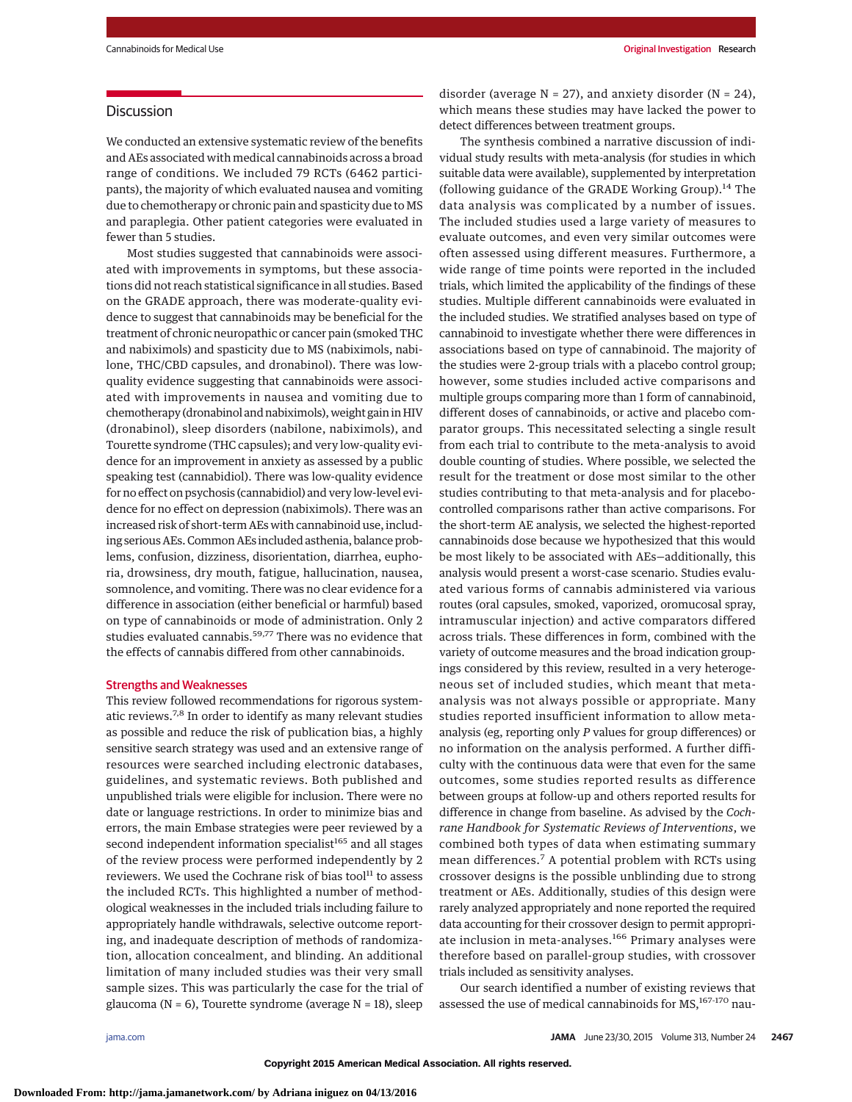# Discussion

We conducted an extensive systematic review of the benefits and AEs associated with medical cannabinoids across a broad range of conditions. We included 79 RCTs (6462 participants), the majority of which evaluated nausea and vomiting due to chemotherapy or chronic pain and spasticity due to MS and paraplegia. Other patient categories were evaluated in fewer than 5 studies.

Most studies suggested that cannabinoids were associated with improvements in symptoms, but these associations did not reach statistical significance in all studies. Based on the GRADE approach, there was moderate-quality evidence to suggest that cannabinoids may be beneficial for the treatment of chronic neuropathic or cancer pain (smoked THC and nabiximols) and spasticity due to MS (nabiximols, nabilone, THC/CBD capsules, and dronabinol). There was lowquality evidence suggesting that cannabinoids were associated with improvements in nausea and vomiting due to chemotherapy (dronabinol and nabiximols), weight gain in HIV (dronabinol), sleep disorders (nabilone, nabiximols), and Tourette syndrome (THC capsules); and very low-quality evidence for an improvement in anxiety as assessed by a public speaking test (cannabidiol). There was low-quality evidence for no effect on psychosis (cannabidiol) and very low-level evidence for no effect on depression (nabiximols). There was an increased risk of short-term AEs with cannabinoid use, including serious AEs. Common AEs included asthenia, balance problems, confusion, dizziness, disorientation, diarrhea, euphoria, drowsiness, dry mouth, fatigue, hallucination, nausea, somnolence, and vomiting. There was no clear evidence for a difference in association (either beneficial or harmful) based on type of cannabinoids or mode of administration. Only 2 studies evaluated cannabis.<sup>59,77</sup> There was no evidence that the effects of cannabis differed from other cannabinoids.

#### Strengths and Weaknesses

This review followed recommendations for rigorous systematic reviews.7,8 In order to identify as many relevant studies as possible and reduce the risk of publication bias, a highly sensitive search strategy was used and an extensive range of resources were searched including electronic databases, guidelines, and systematic reviews. Both published and unpublished trials were eligible for inclusion. There were no date or language restrictions. In order to minimize bias and errors, the main Embase strategies were peer reviewed by a second independent information specialist<sup>165</sup> and all stages of the review process were performed independently by 2 reviewers. We used the Cochrane risk of bias tool<sup>11</sup> to assess the included RCTs. This highlighted a number of methodological weaknesses in the included trials including failure to appropriately handle withdrawals, selective outcome reporting, and inadequate description of methods of randomization, allocation concealment, and blinding. An additional limitation of many included studies was their very small sample sizes. This was particularly the case for the trial of glaucoma ( $N = 6$ ), Tourette syndrome (average  $N = 18$ ), sleep

disorder (average  $N = 27$ ), and anxiety disorder ( $N = 24$ ), which means these studies may have lacked the power to detect differences between treatment groups.

The synthesis combined a narrative discussion of individual study results with meta-analysis (for studies in which suitable data were available), supplemented by interpretation (following guidance of the GRADE Working Group).<sup>14</sup> The data analysis was complicated by a number of issues. The included studies used a large variety of measures to evaluate outcomes, and even very similar outcomes were often assessed using different measures. Furthermore, a wide range of time points were reported in the included trials, which limited the applicability of the findings of these studies. Multiple different cannabinoids were evaluated in the included studies. We stratified analyses based on type of cannabinoid to investigate whether there were differences in associations based on type of cannabinoid. The majority of the studies were 2-group trials with a placebo control group; however, some studies included active comparisons and multiple groups comparing more than 1 form of cannabinoid, different doses of cannabinoids, or active and placebo comparator groups. This necessitated selecting a single result from each trial to contribute to the meta-analysis to avoid double counting of studies. Where possible, we selected the result for the treatment or dose most similar to the other studies contributing to that meta-analysis and for placebocontrolled comparisons rather than active comparisons. For the short-term AE analysis, we selected the highest-reported cannabinoids dose because we hypothesized that this would be most likely to be associated with AEs—additionally, this analysis would present a worst-case scenario. Studies evaluated various forms of cannabis administered via various routes (oral capsules, smoked, vaporized, oromucosal spray, intramuscular injection) and active comparators differed across trials. These differences in form, combined with the variety of outcome measures and the broad indication groupings considered by this review, resulted in a very heterogeneous set of included studies, which meant that metaanalysis was not always possible or appropriate. Many studies reported insufficient information to allow metaanalysis (eg, reporting only *P* values for group differences) or no information on the analysis performed. A further difficulty with the continuous data were that even for the same outcomes, some studies reported results as difference between groups at follow-up and others reported results for difference in change from baseline. As advised by the *Cochrane Handbook for Systematic Reviews of Interventions*, we combined both types of data when estimating summary mean differences.<sup>7</sup> A potential problem with RCTs using crossover designs is the possible unblinding due to strong treatment or AEs. Additionally, studies of this design were rarely analyzed appropriately and none reported the required data accounting for their crossover design to permit appropriate inclusion in meta-analyses.<sup>166</sup> Primary analyses were therefore based on parallel-group studies, with crossover trials included as sensitivity analyses.

Our search identified a number of existing reviews that assessed the use of medical cannabinoids for MS,<sup>167-170</sup> nau-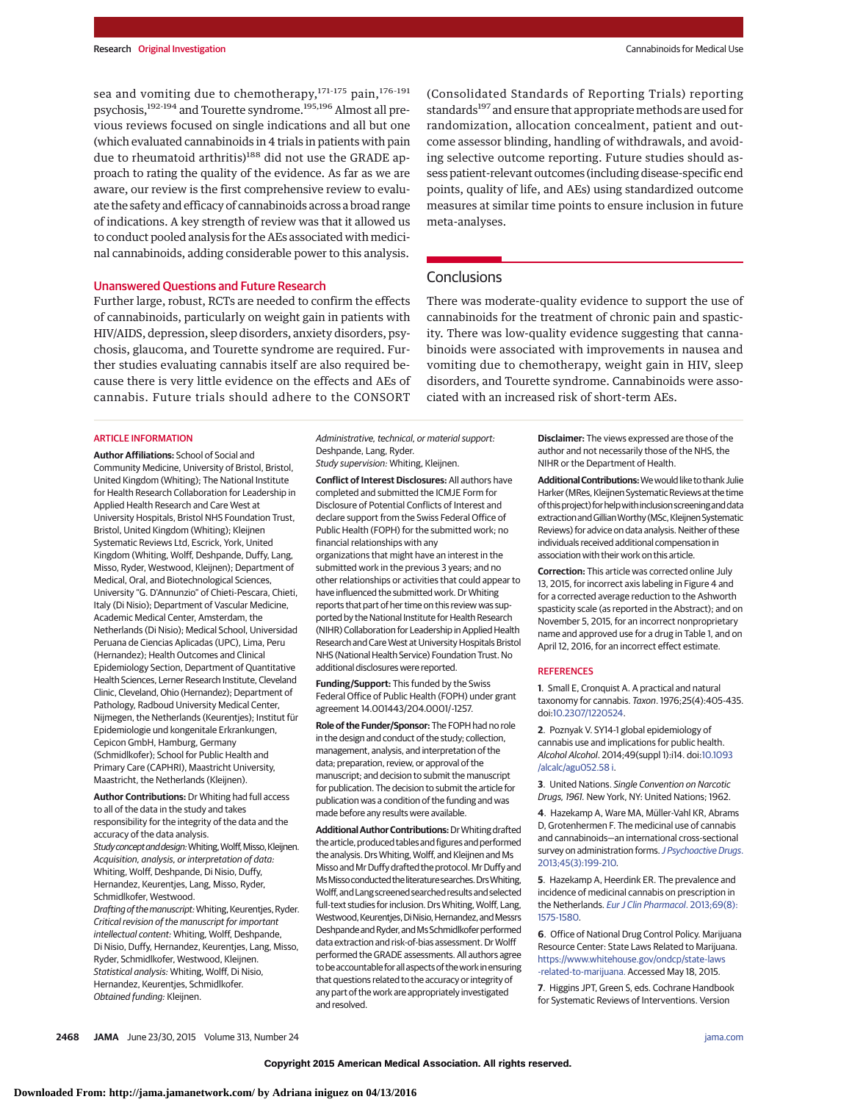sea and vomiting due to chemotherapy,<sup>171-175</sup> pain,<sup>176-191</sup> psychosis,192-194 and Tourette syndrome.195,196 Almost all previous reviews focused on single indications and all but one (which evaluated cannabinoids in 4 trials in patients with pain due to rheumatoid arthritis)<sup>188</sup> did not use the GRADE approach to rating the quality of the evidence. As far as we are aware, our review is the first comprehensive review to evaluate the safety and efficacy of cannabinoids across a broad range of indications. A key strength of review was that it allowed us to conduct pooled analysis for the AEs associated with medicinal cannabinoids, adding considerable power to this analysis.

#### Unanswered Questions and Future Research

Further large, robust, RCTs are needed to confirm the effects of cannabinoids, particularly on weight gain in patients with HIV/AIDS, depression, sleep disorders, anxiety disorders, psychosis, glaucoma, and Tourette syndrome are required. Further studies evaluating cannabis itself are also required because there is very little evidence on the effects and AEs of cannabis. Future trials should adhere to the CONSORT (Consolidated Standards of Reporting Trials) reporting standards<sup>197</sup> and ensure that appropriate methods are used for randomization, allocation concealment, patient and outcome assessor blinding, handling of withdrawals, and avoiding selective outcome reporting. Future studies should assess patient-relevant outcomes (including disease-specific end points, quality of life, and AEs) using standardized outcome measures at similar time points to ensure inclusion in future meta-analyses.

# Conclusions

There was moderate-quality evidence to support the use of cannabinoids for the treatment of chronic pain and spasticity. There was low-quality evidence suggesting that cannabinoids were associated with improvements in nausea and vomiting due to chemotherapy, weight gain in HIV, sleep disorders, and Tourette syndrome. Cannabinoids were associated with an increased risk of short-term AEs.

#### ARTICLE INFORMATION

**Author Affiliations:** School of Social and Community Medicine, University of Bristol, Bristol, United Kingdom (Whiting); The National Institute for Health Research Collaboration for Leadership in Applied Health Research and Care West at University Hospitals, Bristol NHS Foundation Trust, Bristol, United Kingdom (Whiting); Kleijnen Systematic Reviews Ltd, Escrick, York, United Kingdom (Whiting, Wolff, Deshpande, Duffy, Lang, Misso, Ryder, Westwood, Kleijnen); Department of Medical, Oral, and Biotechnological Sciences, University "G. D'Annunzio" of Chieti-Pescara, Chieti, Italy (Di Nisio); Department of Vascular Medicine, Academic Medical Center, Amsterdam, the Netherlands (Di Nisio); Medical School, Universidad Peruana de Ciencias Aplicadas (UPC), Lima, Peru (Hernandez); Health Outcomes and Clinical Epidemiology Section, Department of Quantitative Health Sciences, Lerner Research Institute, Cleveland Clinic, Cleveland, Ohio (Hernandez); Department of Pathology, Radboud University Medical Center, Nijmegen, the Netherlands (Keurentjes); Institut für Epidemiologie und kongenitale Erkrankungen, Cepicon GmbH, Hamburg, Germany (Schmidlkofer); School for Public Health and Primary Care (CAPHRI), Maastricht University, Maastricht, the Netherlands (Kleijnen).

**Author Contributions:** Dr Whiting had full access to all of the data in the study and takes responsibility for the integrity of the data and the accuracy of the data analysis. Study concept and design: Whiting, Wolff, Misso, Kleijnen. Acquisition, analysis, or interpretation of data:

Whiting, Wolff, Deshpande, Di Nisio, Duffy, Hernandez, Keurentjes, Lang, Misso, Ryder, Schmidlkofer, Westwood. Drafting of the manuscript: Whiting, Keurentjes, Ryder.

Critical revision of the manuscript for important intellectual content: Whiting, Wolff, Deshpande, Di Nisio, Duffy, Hernandez, Keurentjes, Lang, Misso, Ryder, Schmidlkofer, Westwood, Kleijnen. Statistical analysis: Whiting, Wolff, Di Nisio, Hernandez, Keurenties, Schmidlkofer. Obtained funding: Kleijnen.

Administrative, technical, or material support: Deshpande, Lang, Ryder.

Study supervision: Whiting, Kleijnen. **Conflict of Interest Disclosures:** All authors have completed and submitted the ICMJE Form for

Disclosure of Potential Conflicts of Interest and declare support from the Swiss Federal Office of Public Health (FOPH) for the submitted work; no financial relationships with any organizations that might have an interest in the submitted work in the previous 3 years; and no other relationships or activities that could appear to have influenced the submitted work. Dr Whiting reports that part of her time on this review was supported by the National Institute for Health Research (NIHR) Collaboration for Leadership in Applied Health Research and Care West at University Hospitals Bristol NHS (National Health Service) Foundation Trust. No additional disclosures were reported.

**Funding/Support:** This funded by the Swiss Federal Office of Public Health (FOPH) under grant agreement 14.001443/204.0001/-1257.

**Role of the Funder/Sponsor:** The FOPH had no role in the design and conduct of the study; collection, management, analysis, and interpretation of the data; preparation, review, or approval of the manuscript; and decision to submit the manuscript for publication. The decision to submit the article for publication was a condition of the funding and was made before any results were available.

**AdditionalAuthor Contributions:**DrWhiting drafted the article, produced tables and figures and performed the analysis. Drs Whiting, Wolff, and Kleijnen and Ms Misso and Mr Duffy drafted the protocol. Mr Duffy and Ms Misso conducted the literature searches. Drs Whiting, Wolff,andLang screened searched resultsand selected full-text studies for inclusion. Drs Whiting, Wolff, Lang. Westwood, Keurentjes, Di Nisio, Hernandez, and Messrs Deshpande and Ryder, and Ms Schmidlkofer performed data extraction and risk-of-bias assessment. Dr Wolff performed the GRADE assessments. All authors agree to be accountable for all aspects of the work in ensuring that questions related to the accuracy or integrity of any part of the work are appropriately investigated and resolved.

**Disclaimer:** The views expressed are those of the author and not necessarily those of the NHS, the NIHR or the Department of Health.

**Additional Contributions:** We would like to thank Julie Harker (MRes, Kleijnen Systematic Reviews at the time of thisproject) forhelpwithinclusionscreeninganddata extraction and Gillian Worthy (MSc, Kleijnen Systematic Reviews) for advice on data analysis. Neither of these individuals received additional compensation in association with their work on this article.

**Correction:** This article was corrected online July 13, 2015, for incorrect axis labeling in Figure 4 and for a corrected average reduction to the Ashworth spasticity scale (as reported in the Abstract); and on November 5, 2015, for an incorrect nonproprietary name and approved use for a drug in Table 1, and on April 12, 2016, for an incorrect effect estimate.

#### **REFERENCES**

**1**. Small E, Cronquist A. A practical and natural taxonomy for cannabis. Taxon. 1976;25(4):405-435. doi[:10.2307/1220524.](http://dx.doi.org/10.2307/1220524)

**2**. Poznyak V. SY14-1 global epidemiology of cannabis use and implications for public health. Alcohol Alcohol. 2014;49(suppl 1):i14. doi[:10.1093](http://dx.doi.org/10.1093/alcalc/agu052.58 i) [/alcalc/agu052.58 i.](http://dx.doi.org/10.1093/alcalc/agu052.58 i)

**3**. United Nations. Single Convention on Narcotic Drugs, 1961. New York, NY: United Nations; 1962.

**4**. Hazekamp A, Ware MA, Müller-Vahl KR, Abrams D, Grotenhermen F. The medicinal use of cannabis and cannabinoids—an international cross-sectional survey on administration forms. [J Psychoactive Drugs](http://www.ncbi.nlm.nih.gov/pubmed/24175484). [2013;45\(3\):199-210.](http://www.ncbi.nlm.nih.gov/pubmed/24175484)

**5**. Hazekamp A, Heerdink ER. The prevalence and incidence of medicinal cannabis on prescription in the Netherlands. [Eur J Clin Pharmacol](http://www.ncbi.nlm.nih.gov/pubmed/23588562). 2013;69(8): [1575-1580.](http://www.ncbi.nlm.nih.gov/pubmed/23588562)

**6**. Office of National Drug Control Policy. Marijuana Resource Center: State Laws Related to Marijuana. [https://www.whitehouse.gov/ondcp/state-laws](https://www.whitehouse.gov/ondcp/state-laws-related-to-marijuana) [-related-to-marijuana.](https://www.whitehouse.gov/ondcp/state-laws-related-to-marijuana) Accessed May 18, 2015.

**7**. Higgins JPT, Green S, eds. Cochrane Handbook for Systematic Reviews of Interventions. Version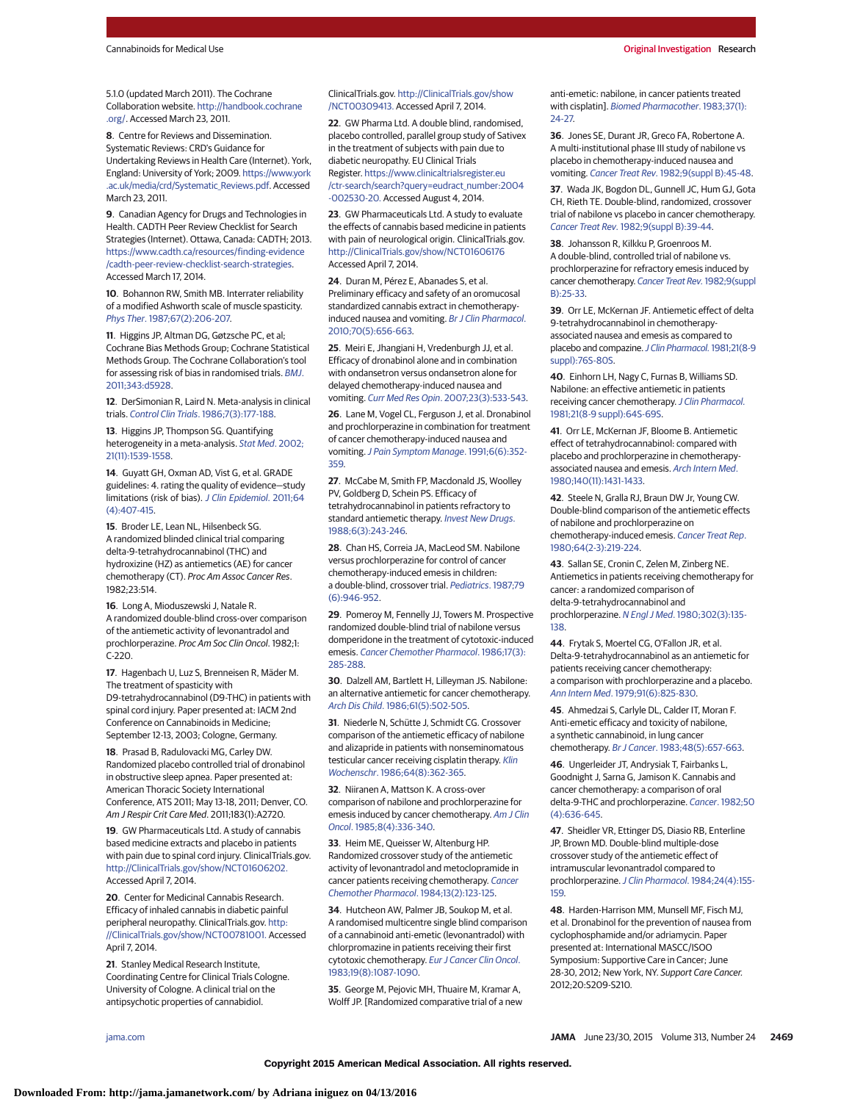5.1.0 (updated March 2011). The Cochrane Collaboration website. [http://handbook.cochrane](http://handbook.cochrane.org/) [.org/.](http://handbook.cochrane.org/) Accessed March 23, 2011.

**8**. Centre for Reviews and Dissemination. Systematic Reviews: CRD's Guidance for Undertaking Reviews in Health Care (Internet). York, England: University of York; 2009. [https://www.york](https://www.york.ac.uk/media/crd/Systematic_Reviews.pdf) [.ac.uk/media/crd/Systematic\\_Reviews.pdf.](https://www.york.ac.uk/media/crd/Systematic_Reviews.pdf) Accessed March 23, 2011.

**9**. Canadian Agency for Drugs and Technologies in Health. CADTH Peer Review Checklist for Search Strategies (Internet). Ottawa, Canada: CADTH; 2013. [https://www.cadth.ca/resources/finding-evidence](https://www.cadth.ca/resources/finding-evidence/cadth-peer-review-checklist-search-strategies) [/cadth-peer-review-checklist-search-strategies.](https://www.cadth.ca/resources/finding-evidence/cadth-peer-review-checklist-search-strategies) Accessed March 17, 2014.

**10**. Bohannon RW, Smith MB. Interrater reliability of a modified Ashworth scale of muscle spasticity. Phys Ther[. 1987;67\(2\):206-207.](http://www.ncbi.nlm.nih.gov/pubmed/3809245)

**11**. Higgins JP, Altman DG, Gøtzsche PC, et al; Cochrane Bias Methods Group; Cochrane Statistical Methods Group. The Cochrane Collaboration's tool for assessing risk of bias in randomised trials. [BMJ](http://www.ncbi.nlm.nih.gov/pubmed/22008217). [2011;343:d5928.](http://www.ncbi.nlm.nih.gov/pubmed/22008217)

**12**. DerSimonian R, Laird N. Meta-analysis in clinical trials. Control Clin Trials[. 1986;7\(3\):177-188.](http://www.ncbi.nlm.nih.gov/pubmed/3802833)

**13**. Higgins JP, Thompson SG. Quantifying heterogeneity in a meta-analysis. [Stat Med](http://www.ncbi.nlm.nih.gov/pubmed/12111919). 2002; [21\(11\):1539-1558.](http://www.ncbi.nlm.nih.gov/pubmed/12111919)

**14**. Guyatt GH, Oxman AD, Vist G, et al. GRADE guidelines: 4. rating the quality of evidence—study limitations (risk of bias). [J Clin Epidemiol](http://www.ncbi.nlm.nih.gov/pubmed/21247734). 2011;64 [\(4\):407-415.](http://www.ncbi.nlm.nih.gov/pubmed/21247734)

**15**. Broder LE, Lean NL, Hilsenbeck SG. A randomized blinded clinical trial comparing delta-9-tetrahydrocannabinol (THC) and hydroxizine (HZ) as antiemetics (AE) for cancer chemotherapy (CT). Proc Am Assoc Cancer Res. 1982;23:514.

**16**. Long A, Mioduszewski J, Natale R. A randomized double-blind cross-over comparison of the antiemetic activity of levonantradol and prochlorperazine. Proc Am Soc Clin Oncol. 1982;1: C-220.

**17**. Hagenbach U, Luz S, Brenneisen R, Mäder M. The treatment of spasticity with D9-tetrahydrocannabinol (D9-THC) in patients with spinal cord injury. Paper presented at: IACM 2nd Conference on Cannabinoids in Medicine; September 12-13, 2003; Cologne, Germany.

**18**. Prasad B, Radulovacki MG, Carley DW. Randomized placebo controlled trial of dronabinol in obstructive sleep apnea. Paper presented at: American Thoracic Society International Conference, ATS 2011; May 13-18, 2011; Denver, CO. Am J Respir Crit Care Med. 2011;183(1):A2720.

**19**. GW Pharmaceuticals Ltd. A study of cannabis based medicine extracts and placebo in patients with pain due to spinal cord injury. ClinicalTrials.gov. [http://ClinicalTrials.gov/show/NCT01606202.](http://ClinicalTrials.gov/show/NCT01606202) Accessed April 7, 2014.

**20**. Center for Medicinal Cannabis Research. Efficacy of inhaled cannabis in diabetic painful peripheral neuropathy. ClinicalTrials.gov. [http:](http://ClinicalTrials.gov/show/NCT00781001) [//ClinicalTrials.gov/show/NCT00781001.](http://ClinicalTrials.gov/show/NCT00781001) Accessed April 7, 2014.

**21**. Stanley Medical Research Institute, Coordinating Centre for Clinical Trials Cologne. University of Cologne. A clinical trial on the antipsychotic properties of cannabidiol.

ClinicalTrials.gov. [http://ClinicalTrials.gov/show](http://ClinicalTrials.gov/show/NCT00309413) [/NCT00309413.](http://ClinicalTrials.gov/show/NCT00309413) Accessed April 7, 2014.

**22**. GW Pharma Ltd. A double blind, randomised, placebo controlled, parallel group study of Sativex in the treatment of subjects with pain due to diabetic neuropathy. EU Clinical Trials Register. [https://www.clinicaltrialsregister.eu](https://www.clinicaltrialsregister.eu/ctr-search/search?query=eudract_number:2004-002530-20) [/ctr-search/search?query=eudract\\_number:2004](https://www.clinicaltrialsregister.eu/ctr-search/search?query=eudract_number:2004-002530-20) [-002530-20.](https://www.clinicaltrialsregister.eu/ctr-search/search?query=eudract_number:2004-002530-20) Accessed August 4, 2014.

**23**. GW Pharmaceuticals Ltd. A study to evaluate the effects of cannabis based medicine in patients with pain of neurological origin. ClinicalTrials.gov. <http://ClinicalTrials.gov/show/NCT01606176> Accessed April 7, 2014.

**24**. Duran M, Pérez E, Abanades S, et al. Preliminary efficacy and safety of an oromucosal standardized cannabis extract in chemotherapyinduced nausea and vomiting. [Br J Clin Pharmacol](http://www.ncbi.nlm.nih.gov/pubmed/21039759). [2010;70\(5\):656-663.](http://www.ncbi.nlm.nih.gov/pubmed/21039759)

**25**. Meiri E, Jhangiani H, Vredenburgh JJ, et al. Efficacy of dronabinol alone and in combination with ondansetron versus ondansetron alone for delayed chemotherapy-induced nausea and vomiting. Curr Med Res Opin[. 2007;23\(3\):533-543.](http://www.ncbi.nlm.nih.gov/pubmed/17355735)

**26**. Lane M, Vogel CL, Ferguson J, et al. Dronabinol and prochlorperazine in combination for treatment of cancer chemotherapy-induced nausea and vomiting. [J Pain Symptom Manage](http://www.ncbi.nlm.nih.gov/pubmed/1652611). 1991;6(6):352-[359.](http://www.ncbi.nlm.nih.gov/pubmed/1652611)

**27**. McCabe M, Smith FP, Macdonald JS, Woolley PV, Goldberg D, Schein PS. Efficacy of tetrahydrocannabinol in patients refractory to standard antiemetic therapy. [Invest New Drugs](http://www.ncbi.nlm.nih.gov/pubmed/2847994). [1988;6\(3\):243-246.](http://www.ncbi.nlm.nih.gov/pubmed/2847994)

**28**. Chan HS, Correia JA, MacLeod SM. Nabilone versus prochlorperazine for control of cancer chemotherapy-induced emesis in children: a double-blind, crossover trial. [Pediatrics](http://www.ncbi.nlm.nih.gov/pubmed/3035479). 1987;79 [\(6\):946-952.](http://www.ncbi.nlm.nih.gov/pubmed/3035479)

**29**. Pomeroy M, Fennelly JJ, Towers M. Prospective randomized double-blind trial of nabilone versus domperidone in the treatment of cytotoxic-induced emesis. [Cancer Chemother Pharmacol](http://www.ncbi.nlm.nih.gov/pubmed/3017596). 1986;17(3): [285-288.](http://www.ncbi.nlm.nih.gov/pubmed/3017596)

**30**. Dalzell AM, Bartlett H, Lilleyman JS. Nabilone: an alternative antiemetic for cancer chemotherapy. Arch Dis Child[. 1986;61\(5\):502-505.](http://www.ncbi.nlm.nih.gov/pubmed/3013104)

**31**. Niederle N, Schütte J, Schmidt CG. Crossover comparison of the antiemetic efficacy of nabilone and alizapride in patients with nonseminomatous testicular cancer receiving cisplatin therapy. [Klin](http://www.ncbi.nlm.nih.gov/pubmed/3009962) Wochenschr[. 1986;64\(8\):362-365.](http://www.ncbi.nlm.nih.gov/pubmed/3009962)

**32**. Niiranen A, Mattson K. A cross-over comparison of nabilone and prochlorperazine for emesis induced by cancer chemotherapy. [Am J Clin](http://www.ncbi.nlm.nih.gov/pubmed/3002167) Oncol[. 1985;8\(4\):336-340.](http://www.ncbi.nlm.nih.gov/pubmed/3002167)

**33**. Heim ME, Queisser W, Altenburg HP. Randomized crossover study of the antiemetic activity of levonantradol and metoclopramide in cancer patients receiving chemotherapy. [Cancer](http://www.ncbi.nlm.nih.gov/pubmed/6467496) [Chemother Pharmacol](http://www.ncbi.nlm.nih.gov/pubmed/6467496). 1984;13(2):123-125.

**34**. Hutcheon AW, Palmer JB, Soukop M, et al. A randomised multicentre single blind comparison of a cannabinoid anti-emetic (levonantradol) with chlorpromazine in patients receiving their first cytotoxic chemotherapy. [Eur J Cancer Clin Oncol](http://www.ncbi.nlm.nih.gov/pubmed/6352278). [1983;19\(8\):1087-1090.](http://www.ncbi.nlm.nih.gov/pubmed/6352278)

**35**. George M, Pejovic MH, Thuaire M, Kramar A, Wolff JP. [Randomized comparative trial of a new anti-emetic: nabilone, in cancer patients treated with cisplatin]. [Biomed Pharmacother](http://www.ncbi.nlm.nih.gov/pubmed/6311306). 1983;37(1): [24-27.](http://www.ncbi.nlm.nih.gov/pubmed/6311306)

**36**. Jones SE, Durant JR, Greco FA, Robertone A. A multi-institutional phase III study of nabilone vs placebo in chemotherapy-induced nausea and vomiting. Cancer Treat Rev. [1982;9\(suppl B\):45-48.](http://www.ncbi.nlm.nih.gov/pubmed/6299555)

**37**. Wada JK, Bogdon DL, Gunnell JC, Hum GJ, Gota CH, Rieth TE. Double-blind, randomized, crossover trial of nabilone vs placebo in cancer chemotherapy. Cancer Treat Rev. [1982;9\(suppl B\):39-44.](http://www.ncbi.nlm.nih.gov/pubmed/6299554)

**38**. Johansson R, Kilkku P, Groenroos M. A double-blind, controlled trial of nabilone vs. prochlorperazine for refractory emesis induced by cancer chemotherapy. [Cancer Treat Rev.](http://www.ncbi.nlm.nih.gov/pubmed/6299551) 1982;9(suppl [B\):25-33.](http://www.ncbi.nlm.nih.gov/pubmed/6299551)

**39**. Orr LE, McKernan JF. Antiemetic effect of delta 9-tetrahydrocannabinol in chemotherapyassociated nausea and emesis as compared to placebo and compazine. [J Clin Pharmacol.](http://www.ncbi.nlm.nih.gov/pubmed/6271846) 1981;21(8-9 [suppl\):76S-80S.](http://www.ncbi.nlm.nih.gov/pubmed/6271846)

**40**. Einhorn LH, Nagy C, Furnas B, Williams SD. Nabilone: an effective antiemetic in patients receiving cancer chemotherapy.[J Clin Pharmacol.](http://www.ncbi.nlm.nih.gov/pubmed/6271844) [1981;21\(8-9 suppl\):64S-69S.](http://www.ncbi.nlm.nih.gov/pubmed/6271844)

**41**. Orr LE, McKernan JF, Bloome B. Antiemetic effect of tetrahydrocannabinol: compared with placebo and prochlorperazine in chemotherapy-associated nausea and emesis. [Arch Intern Med](http://www.ncbi.nlm.nih.gov/pubmed/6254456). [1980;140\(11\):1431-1433.](http://www.ncbi.nlm.nih.gov/pubmed/6254456)

**42**. Steele N, Gralla RJ, Braun DW Jr, Young CW. Double-blind comparison of the antiemetic effects of nabilone and prochlorperazine on chemotherapy-induced emesis. [Cancer Treat Rep](http://www.ncbi.nlm.nih.gov/pubmed/6250699). [1980;64\(2-3\):219-224.](http://www.ncbi.nlm.nih.gov/pubmed/6250699)

**43**. Sallan SE, Cronin C, Zelen M, Zinberg NE. Antiemetics in patients receiving chemotherapy for cancer: a randomized comparison of delta-9-tetrahydrocannabinol and prochlorperazine. N Engl J Med[. 1980;302\(3\):135-](http://www.ncbi.nlm.nih.gov/pubmed/6985702) [138.](http://www.ncbi.nlm.nih.gov/pubmed/6985702)

**44**. Frytak S, Moertel CG, O'Fallon JR, et al. Delta-9-tetrahydrocannabinol as an antiemetic for patients receiving cancer chemotherapy: a comparison with prochlorperazine and a placebo. Ann Intern Med[. 1979;91\(6\):825-830.](http://www.ncbi.nlm.nih.gov/pubmed/517882)

**45**. Ahmedzai S, Carlyle DL, Calder IT, Moran F. Anti-emetic efficacy and toxicity of nabilone, a synthetic cannabinoid, in lung cancer chemotherapy. Br J Cancer[. 1983;48\(5\):657-663.](http://www.ncbi.nlm.nih.gov/pubmed/6315040)

**46**. Ungerleider JT, Andrysiak T, Fairbanks L, Goodnight J, Sarna G, Jamison K. Cannabis and cancer chemotherapy: a comparison of oral delta-9-THC and prochlorperazine. Cancer[. 1982;50](http://www.ncbi.nlm.nih.gov/pubmed/6284334) [\(4\):636-645.](http://www.ncbi.nlm.nih.gov/pubmed/6284334)

**47**. Sheidler VR, Ettinger DS, Diasio RB, Enterline JP, Brown MD. Double-blind multiple-dose crossover study of the antiemetic effect of intramuscular levonantradol compared to prochlorperazine. J Clin Pharmacol[. 1984;24\(4\):155-](http://www.ncbi.nlm.nih.gov/pubmed/6373843) [159.](http://www.ncbi.nlm.nih.gov/pubmed/6373843)

**48**. Harden-Harrison MM, Munsell MF, Fisch MJ, et al. Dronabinol for the prevention of nausea from cyclophosphamide and/or adriamycin. Paper presented at: International MASCC/ISOO Symposium: Supportive Care in Cancer; June 28-30, 2012; New York, NY. Support Care Cancer. 2012;20:S209-S210.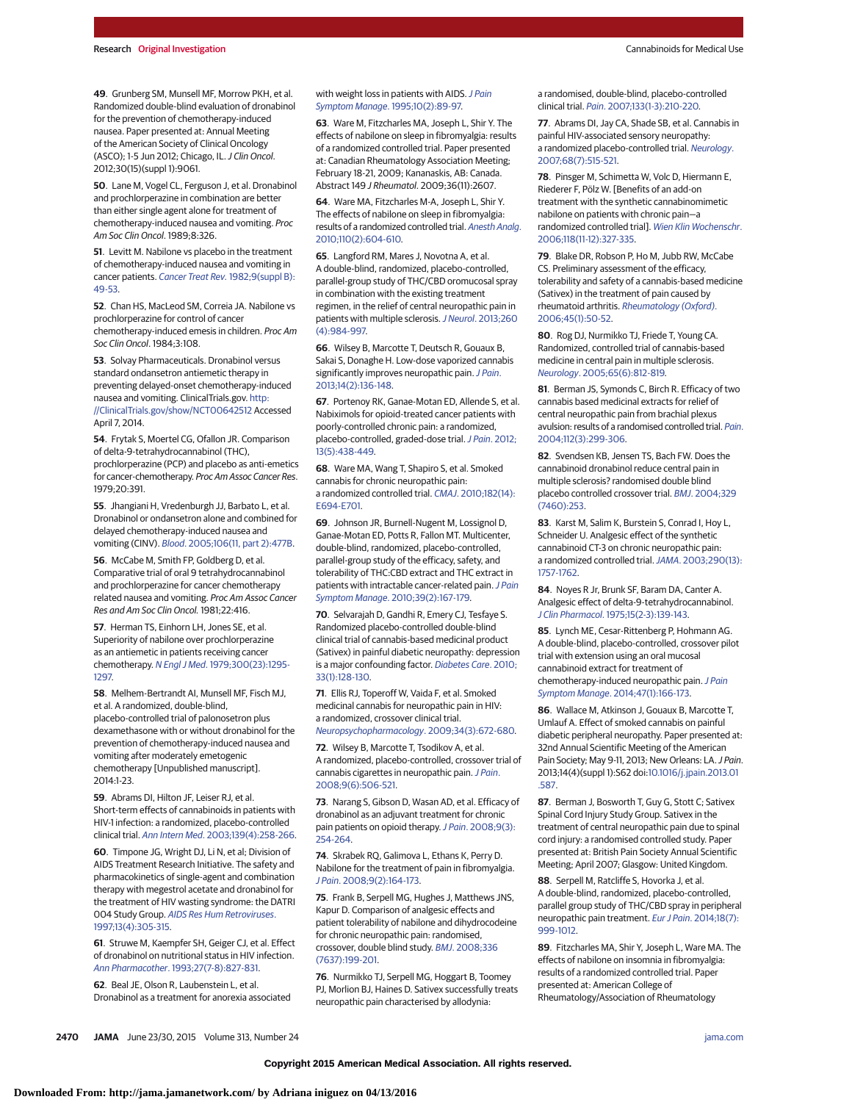**49**. Grunberg SM, Munsell MF, Morrow PKH, et al. Randomized double-blind evaluation of dronabinol for the prevention of chemotherapy-induced nausea. Paper presented at: Annual Meeting of the American Society of Clinical Oncology (ASCO); 1-5 Jun 2012; Chicago, IL. J Clin Oncol. 2012;30(15)(suppl 1):9061.

**50**. Lane M, Vogel CL, Ferguson J, et al. Dronabinol and prochlorperazine in combination are better than either single agent alone for treatment of chemotherapy-induced nausea and vomiting. Proc Am Soc Clin Oncol. 1989;8:326.

**51**. Levitt M. Nabilone vs placebo in the treatment of chemotherapy-induced nausea and vomiting in cancer patients. [Cancer Treat Rev.](http://www.ncbi.nlm.nih.gov/pubmed/6299556) 1982;9(suppl B): [49-53.](http://www.ncbi.nlm.nih.gov/pubmed/6299556)

**52**. Chan HS, MacLeod SM, Correia JA. Nabilone vs prochlorperazine for control of cancer chemotherapy-induced emesis in children. Proc Am Soc Clin Oncol. 1984;3:108.

**53**. Solvay Pharmaceuticals. Dronabinol versus standard ondansetron antiemetic therapy in preventing delayed-onset chemotherapy-induced nausea and vomiting. ClinicalTrials.gov. [http:](http://ClinicalTrials.gov/show/NCT00642512) [//ClinicalTrials.gov/show/NCT00642512](http://ClinicalTrials.gov/show/NCT00642512) Accessed April 7, 2014.

**54**. Frytak S, Moertel CG, Ofallon JR. Comparison of delta-9-tetrahydrocannabinol (THC), prochlorperazine (PCP) and placebo as anti-emetics for cancer-chemotherapy. Proc Am Assoc Cancer Res. 1979;20:391.

**55**. Jhangiani H, Vredenburgh JJ, Barbato L, et al. Dronabinol or ondansetron alone and combined for delayed chemotherapy-induced nausea and vomiting (CINV). Blood[. 2005;106\(11, part 2\):477B.](http://www.ncbi.nlm.nih.gov/pubmed/16342401)

**56**. McCabe M, Smith FP, Goldberg D, et al. Comparative trial of oral 9 tetrahydrocannabinol and prochlorperazine for cancer chemotherapy related nausea and vomiting. Proc Am Assoc Cancer Res and Am Soc Clin Oncol. 1981;22:416.

**57**. Herman TS, Einhorn LH, Jones SE, et al. Superiority of nabilone over prochlorperazine as an antiemetic in patients receiving cancer chemotherapy. N Engl J Med[. 1979;300\(23\):1295-](http://www.ncbi.nlm.nih.gov/pubmed/375088) [1297.](http://www.ncbi.nlm.nih.gov/pubmed/375088)

**58**. Melhem-Bertrandt AI, Munsell MF, Fisch MJ, et al. A randomized, double-blind, placebo-controlled trial of palonosetron plus dexamethasone with or without dronabinol for the prevention of chemotherapy-induced nausea and vomiting after moderately emetogenic chemotherapy [Unpublished manuscript]. 2014:1-23.

**59**. Abrams DI, Hilton JF, Leiser RJ, et al. Short-term effects of cannabinoids in patients with HIV-1 infection: a randomized, placebo-controlled clinical trial. Ann Intern Med[. 2003;139\(4\):258-266.](http://www.ncbi.nlm.nih.gov/pubmed/12965981)

**60**. Timpone JG, Wright DJ, Li N, et al; Division of AIDS Treatment Research Initiative. The safety and pharmacokinetics of single-agent and combination therapy with megestrol acetate and dronabinol for the treatment of HIV wasting syndrome: the DATRI 004 Study Group. [AIDS Res Hum Retroviruses](http://www.ncbi.nlm.nih.gov/pubmed/9071430). [1997;13\(4\):305-315.](http://www.ncbi.nlm.nih.gov/pubmed/9071430)

**61**. Struwe M, Kaempfer SH, Geiger CJ, et al. Effect of dronabinol on nutritional status in HIV infection. Ann Pharmacother[. 1993;27\(7-8\):827-831.](http://www.ncbi.nlm.nih.gov/pubmed/8395916)

**62**. Beal JE, Olson R, Laubenstein L, et al. Dronabinol as a treatment for anorexia associated

#### with weight loss in patients with AIDS. [J Pain](http://www.ncbi.nlm.nih.gov/pubmed/7730690) Symptom Manage[. 1995;10\(2\):89-97.](http://www.ncbi.nlm.nih.gov/pubmed/7730690)

**63**. Ware M, Fitzcharles MA, Joseph L, Shir Y. The effects of nabilone on sleep in fibromyalgia: results of a randomized controlled trial. Paper presented at: Canadian Rheumatology Association Meeting; February 18-21, 2009; Kananaskis, AB: Canada. Abstract 149 J Rheumatol. 2009;36(11):2607.

**64**. Ware MA, Fitzcharles M-A, Joseph L, Shir Y. The effects of nabilone on sleep in fibromyalgia: results of a randomized controlled trial. [Anesth Analg](http://www.ncbi.nlm.nih.gov/pubmed/20007734). [2010;110\(2\):604-610.](http://www.ncbi.nlm.nih.gov/pubmed/20007734)

**65**. Langford RM, Mares J, Novotna A, et al. A double-blind, randomized, placebo-controlled, parallel-group study of THC/CBD oromucosal spray in combination with the existing treatment regimen, in the relief of central neuropathic pain in patients with multiple sclerosis. J Neurol[. 2013;260](http://www.ncbi.nlm.nih.gov/pubmed/23180178) [\(4\):984-997.](http://www.ncbi.nlm.nih.gov/pubmed/23180178)

**66**. Wilsey B, Marcotte T, Deutsch R, Gouaux B, Sakai S, Donaghe H. Low-dose vaporized cannabis significantly improves neuropathic pain. [J Pain](http://www.ncbi.nlm.nih.gov/pubmed/23237736). [2013;14\(2\):136-148.](http://www.ncbi.nlm.nih.gov/pubmed/23237736)

**67**. Portenoy RK, Ganae-Motan ED, Allende S, et al. Nabiximols for opioid-treated cancer patients with poorly-controlled chronic pain: a randomized, placebo-controlled, graded-dose trial. J Pain[. 2012;](http://www.ncbi.nlm.nih.gov/pubmed/22483680) [13\(5\):438-449.](http://www.ncbi.nlm.nih.gov/pubmed/22483680)

**68**. Ware MA, Wang T, Shapiro S, et al. Smoked cannabis for chronic neuropathic pain: a randomized controlled trial. CMAJ[. 2010;182\(14\):](http://www.ncbi.nlm.nih.gov/pubmed/20805210) [E694-E701.](http://www.ncbi.nlm.nih.gov/pubmed/20805210)

**69**. Johnson JR, Burnell-Nugent M, Lossignol D, Ganae-Motan ED, Potts R, Fallon MT. Multicenter, double-blind, randomized, placebo-controlled, parallel-group study of the efficacy, safety, and tolerability of THC:CBD extract and THC extract in patients with intractable cancer-related pain. [J Pain](http://www.ncbi.nlm.nih.gov/pubmed/19896326) Symptom Manage[. 2010;39\(2\):167-179.](http://www.ncbi.nlm.nih.gov/pubmed/19896326)

**70**. Selvarajah D, Gandhi R, Emery CJ, Tesfaye S. Randomized placebo-controlled double-blind clinical trial of cannabis-based medicinal product (Sativex) in painful diabetic neuropathy: depression is a major confounding factor. [Diabetes Care](http://www.ncbi.nlm.nih.gov/pubmed/19808912). 2010; [33\(1\):128-130.](http://www.ncbi.nlm.nih.gov/pubmed/19808912)

**71**. Ellis RJ, Toperoff W, Vaida F, et al. Smoked medicinal cannabis for neuropathic pain in HIV: a randomized, crossover clinical trial. [Neuropsychopharmacology](http://www.ncbi.nlm.nih.gov/pubmed/18688212). 2009;34(3):672-680.

**72**. Wilsey B, Marcotte T, Tsodikov A, et al. A randomized, placebo-controlled, crossover trial of cannabis cigarettes in neuropathic pain. [J Pain](http://www.ncbi.nlm.nih.gov/pubmed/18403272). [2008;9\(6\):506-521.](http://www.ncbi.nlm.nih.gov/pubmed/18403272)

**73**. Narang S, Gibson D, Wasan AD, et al. Efficacy of dronabinol as an adjuvant treatment for chronic pain patients on opioid therapy. J Pain[. 2008;9\(3\):](http://www.ncbi.nlm.nih.gov/pubmed/18088560) [254-264.](http://www.ncbi.nlm.nih.gov/pubmed/18088560)

**74**. Skrabek RQ, Galimova L, Ethans K, Perry D. Nabilone for the treatment of pain in fibromyalgia. J Pain[. 2008;9\(2\):164-173.](http://www.ncbi.nlm.nih.gov/pubmed/17974490)

**75**. Frank B, Serpell MG, Hughes J, Matthews JNS, Kapur D. Comparison of analgesic effects and patient tolerability of nabilone and dihydrocodeine for chronic neuropathic pain: randomised, crossover, double blind study. BMJ[. 2008;336](http://www.ncbi.nlm.nih.gov/pubmed/18182416) [\(7637\):199-201.](http://www.ncbi.nlm.nih.gov/pubmed/18182416)

**76**. Nurmikko TJ, Serpell MG, Hoggart B, Toomey PJ, Morlion BJ, Haines D. Sativex successfully treats neuropathic pain characterised by allodynia:

a randomised, double-blind, placebo-controlled clinical trial. Pain[. 2007;133\(1-3\):210-220.](http://www.ncbi.nlm.nih.gov/pubmed/17997224)

**77**. Abrams DI, Jay CA, Shade SB, et al. Cannabis in painful HIV-associated sensory neuropathy: a randomized placebo-controlled trial. [Neurology](http://www.ncbi.nlm.nih.gov/pubmed/17296917). [2007;68\(7\):515-521.](http://www.ncbi.nlm.nih.gov/pubmed/17296917)

**78**. Pinsger M, Schimetta W, Volc D, Hiermann E, Riederer F, Pölz W. [Benefits of an add-on treatment with the synthetic cannabinomimetic nabilone on patients with chronic pain—a randomized controlled trial]. [Wien Klin Wochenschr](http://www.ncbi.nlm.nih.gov/pubmed/16855921). [2006;118\(11-12\):327-335.](http://www.ncbi.nlm.nih.gov/pubmed/16855921)

**79**. Blake DR, Robson P, Ho M, Jubb RW, McCabe CS. Preliminary assessment of the efficacy, tolerability and safety of a cannabis-based medicine (Sativex) in the treatment of pain caused by rheumatoid arthritis. [Rheumatology \(Oxford\)](http://www.ncbi.nlm.nih.gov/pubmed/16282192). [2006;45\(1\):50-52.](http://www.ncbi.nlm.nih.gov/pubmed/16282192)

**80**. Rog DJ, Nurmikko TJ, Friede T, Young CA. Randomized, controlled trial of cannabis-based medicine in central pain in multiple sclerosis. Neurology[. 2005;65\(6\):812-819.](http://www.ncbi.nlm.nih.gov/pubmed/16186518)

**81**. Berman JS, Symonds C, Birch R. Efficacy of two cannabis based medicinal extracts for relief of central neuropathic pain from brachial plexus avulsion: results of a randomised controlled trial. [Pain](http://www.ncbi.nlm.nih.gov/pubmed/15561385). [2004;112\(3\):299-306.](http://www.ncbi.nlm.nih.gov/pubmed/15561385)

**82**. Svendsen KB, Jensen TS, Bach FW. Does the cannabinoid dronabinol reduce central pain in multiple sclerosis? randomised double blind placebo controlled crossover trial. BMJ[. 2004;329](http://www.ncbi.nlm.nih.gov/pubmed/15258006) [\(7460\):253.](http://www.ncbi.nlm.nih.gov/pubmed/15258006)

**83**. Karst M, Salim K, Burstein S, Conrad I, Hoy L, Schneider U. Analgesic effect of the synthetic cannabinoid CT-3 on chronic neuropathic pain: a randomized controlled trial. JAMA[. 2003;290\(13\):](http://www.ncbi.nlm.nih.gov/pubmed/14519710) [1757-1762.](http://www.ncbi.nlm.nih.gov/pubmed/14519710)

**84**. Noyes R Jr, Brunk SF, Baram DA, Canter A. Analgesic effect of delta-9-tetrahydrocannabinol. J Clin Pharmacol[. 1975;15\(2-3\):139-143.](http://www.ncbi.nlm.nih.gov/pubmed/1091664)

**85**. Lynch ME, Cesar-Rittenberg P, Hohmann AG. A double-blind, placebo-controlled, crossover pilot trial with extension using an oral mucosal cannabinoid extract for treatment of chemotherapy-induced neuropathic pain. [J Pain](http://www.ncbi.nlm.nih.gov/pubmed/23742737) Symptom Manage[. 2014;47\(1\):166-173.](http://www.ncbi.nlm.nih.gov/pubmed/23742737)

**86**. Wallace M, Atkinson J, Gouaux B, Marcotte T, Umlauf A. Effect of smoked cannabis on painful diabetic peripheral neuropathy. Paper presented at: 32nd Annual Scientific Meeting of the American Pain Society; May 9-11, 2013; New Orleans: LA. J Pain. 2013;14(4)(suppl 1):S62 doi[:10.1016/j.jpain.2013.01](http://dx.doi.org/10.1016/j.jpain.2013.01.587) [.587.](http://dx.doi.org/10.1016/j.jpain.2013.01.587)

**87**. Berman J, Bosworth T, Guy G, Stott C; Sativex Spinal Cord Injury Study Group. Sativex in the treatment of central neuropathic pain due to spinal cord injury: a randomised controlled study. Paper presented at: British Pain Society Annual Scientific Meeting; April 2007; Glasgow: United Kingdom.

**88**. Serpell M, Ratcliffe S, Hovorka J, et al. A double-blind, randomized, placebo-controlled, parallel group study of THC/CBD spray in peripheral neuropathic pain treatment. Eur J Pain[. 2014;18\(7\):](http://www.ncbi.nlm.nih.gov/pubmed/24420962) [999-1012.](http://www.ncbi.nlm.nih.gov/pubmed/24420962)

**89**. Fitzcharles MA, Shir Y, Joseph L, Ware MA. The effects of nabilone on insomnia in fibromyalgia: results of a randomized controlled trial. Paper presented at: American College of Rheumatology/Association of Rheumatology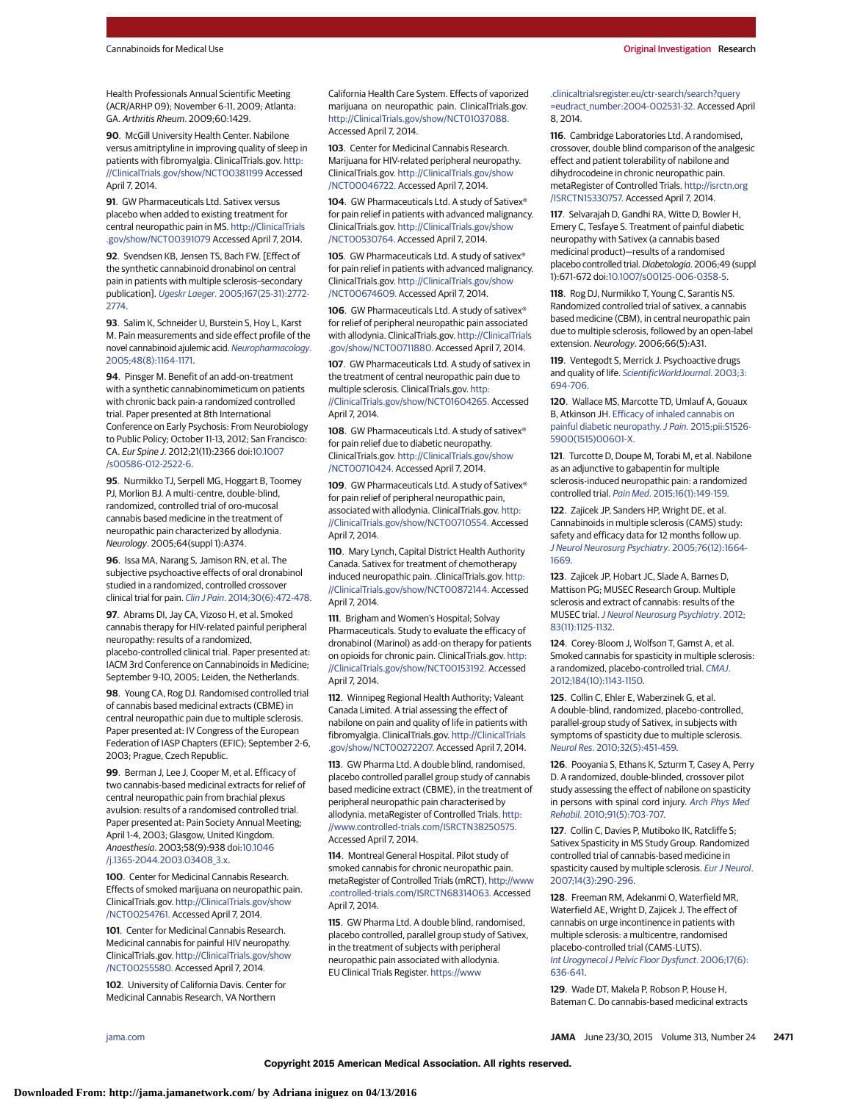Health Professionals Annual Scientific Meeting (ACR/ARHP 09); November 6-11, 2009; Atlanta: GA. Arthritis Rheum. 2009;60:1429.

**90**. McGill University Health Center. Nabilone versus amitriptyline in improving quality of sleep in patients with fibromyalgia. ClinicalTrials.gov. [http:](http://ClinicalTrials.gov/show/NCT00381199) [//ClinicalTrials.gov/show/NCT00381199](http://ClinicalTrials.gov/show/NCT00381199) Accessed April 7, 2014.

**91**. GW Pharmaceuticals Ltd. Sativex versus placebo when added to existing treatment for central neuropathic pain in MS. [http://ClinicalTrials](http://ClinicalTrials.gov/show/NCT00391079) [.gov/show/NCT00391079](http://ClinicalTrials.gov/show/NCT00391079) Accessed April 7, 2014.

**92**. Svendsen KB, Jensen TS, Bach FW. [Effect of the synthetic cannabinoid dronabinol on central pain in patients with multiple sclerosis–secondary publication]. Ugeskr Laeger. [2005;167\(25-31\):2772-](http://www.ncbi.nlm.nih.gov/pubmed/16014264) [2774.](http://www.ncbi.nlm.nih.gov/pubmed/16014264)

**93**. Salim K, Schneider U, Burstein S, Hoy L, Karst M. Pain measurements and side effect profile of the novel cannabinoid ajulemic acid. [Neuropharmacology](http://www.ncbi.nlm.nih.gov/pubmed/15910892). [2005;48\(8\):1164-1171.](http://www.ncbi.nlm.nih.gov/pubmed/15910892)

**94**. Pinsger M. Benefit of an add-on-treatment with a synthetic cannabinomimeticum on patients with chronic back pain-a randomized controlled trial. Paper presented at 8th International Conference on Early Psychosis: From Neurobiology to Public Policy; October 11-13, 2012; San Francisco: CA. Eur Spine J. 2012;21(11):2366 doi[:10.1007](http://dx.doi.org/10.1007/s00586-012-2522-6) [/s00586-012-2522-6.](http://dx.doi.org/10.1007/s00586-012-2522-6)

**95**. Nurmikko TJ, Serpell MG, Hoggart B, Toomey PJ, Morlion BJ. A multi-centre, double-blind, randomized, controlled trial of oro-mucosal cannabis based medicine in the treatment of neuropathic pain characterized by allodynia. Neurology. 2005;64(suppl 1):A374.

**96**. Issa MA, Narang S, Jamison RN, et al. The subjective psychoactive effects of oral dronabinol studied in a randomized, controlled crossover clinical trial for pain. Clin J Pain[. 2014;30\(6\):472-478.](http://www.ncbi.nlm.nih.gov/pubmed/24281276)

**97**. Abrams DI, Jay CA, Vizoso H, et al. Smoked cannabis therapy for HIV-related painful peripheral neuropathy: results of a randomized, placebo-controlled clinical trial. Paper presented at: IACM 3rd Conference on Cannabinoids in Medicine; September 9-10, 2005; Leiden, the Netherlands.

**98**. Young CA, Rog DJ. Randomised controlled trial of cannabis based medicinal extracts (CBME) in central neuropathic pain due to multiple sclerosis. Paper presented at: IV Congress of the European Federation of IASP Chapters (EFIC); September 2-6, 2003; Prague, Czech Republic.

**99**. Berman J, Lee J, Cooper M, et al. Efficacy of two cannabis-based medicinal extracts for relief of central neuropathic pain from brachial plexus avulsion: results of a randomised controlled trial. Paper presented at: Pain Society Annual Meeting; April 1-4, 2003; Glasgow, United Kingdom. Anaesthesia. 2003;58(9):938 doi[:10.1046](http://dx.doi.org/10.1046/j.1365-2044.2003.03408_3.x) [/j.1365-2044.2003.03408\\_3.x.](http://dx.doi.org/10.1046/j.1365-2044.2003.03408_3.x)

**100**. Center for Medicinal Cannabis Research. Effects of smoked marijuana on neuropathic pain. ClinicalTrials.gov. [http://ClinicalTrials.gov/show](http://ClinicalTrials.gov/show/NCT00254761) [/NCT00254761.](http://ClinicalTrials.gov/show/NCT00254761) Accessed April 7, 2014.

**101**. Center for Medicinal Cannabis Research. Medicinal cannabis for painful HIV neuropathy. ClinicalTrials.gov. [http://ClinicalTrials.gov/show](http://ClinicalTrials.gov/show/NCT00255580) [/NCT00255580.](http://ClinicalTrials.gov/show/NCT00255580) Accessed April 7, 2014.

**102**. University of California Davis. Center for Medicinal Cannabis Research, VA Northern

California Health Care System. Effects of vaporized marijuana on neuropathic pain. ClinicalTrials.gov. [http://ClinicalTrials.gov/show/NCT01037088.](http://ClinicalTrials.gov/show/NCT01037088) Accessed April 7, 2014.

**103**. Center for Medicinal Cannabis Research. Marijuana for HIV-related peripheral neuropathy. ClinicalTrials.gov. [http://ClinicalTrials.gov/show](http://ClinicalTrials.gov/show/NCT00046722) [/NCT00046722.](http://ClinicalTrials.gov/show/NCT00046722) Accessed April 7, 2014.

**104**. GW Pharmaceuticals Ltd. A study of Sativex® for pain relief in patients with advanced malignancy. ClinicalTrials.gov. [http://ClinicalTrials.gov/show](http://ClinicalTrials.gov/show/NCT00530764) [/NCT00530764.](http://ClinicalTrials.gov/show/NCT00530764) Accessed April 7, 2014.

**105**. GW Pharmaceuticals Ltd. A study of sativex® for pain relief in patients with advanced malignancy. ClinicalTrials.gov. [http://ClinicalTrials.gov/show](http://ClinicalTrials.gov/show/NCT00674609) [/NCT00674609.](http://ClinicalTrials.gov/show/NCT00674609) Accessed April 7, 2014.

**106**. GW Pharmaceuticals Ltd. A study of sativex® for relief of peripheral neuropathic pain associated with allodynia. ClinicalTrials.gov. [http://ClinicalTrials](http://ClinicalTrials.gov/show/NCT00711880) [.gov/show/NCT00711880.](http://ClinicalTrials.gov/show/NCT00711880) Accessed April 7, 2014.

**107**. GW Pharmaceuticals Ltd. A study of sativex in the treatment of central neuropathic pain due to multiple sclerosis. ClinicalTrials.gov. [http:](http://ClinicalTrials.gov/show/NCT01604265) [//ClinicalTrials.gov/show/NCT01604265.](http://ClinicalTrials.gov/show/NCT01604265) Accessed

April 7, 2014. **108**. GW Pharmaceuticals Ltd. A study of sativex®

for pain relief due to diabetic neuropathy. ClinicalTrials.gov. [http://ClinicalTrials.gov/show](http://ClinicalTrials.gov/show/NCT00710424) [/NCT00710424.](http://ClinicalTrials.gov/show/NCT00710424) Accessed April 7, 2014.

**109**. GW Pharmaceuticals Ltd. A study of Sativex® for pain relief of peripheral neuropathic pain, associated with allodynia. ClinicalTrials.gov. [http:](http://ClinicalTrials.gov/show/NCT00710554) [//ClinicalTrials.gov/show/NCT00710554.](http://ClinicalTrials.gov/show/NCT00710554) Accessed April 7, 2014.

**110**. Mary Lynch, Capital District Health Authority Canada. Sativex for treatment of chemotherapy induced neuropathic pain. .ClinicalTrials.gov. [http:](http://ClinicalTrials.gov/show/NCT00872144) [//ClinicalTrials.gov/show/NCT00872144.](http://ClinicalTrials.gov/show/NCT00872144) Accessed April 7, 2014.

**111**. Brigham and Women's Hospital; Solvay Pharmaceuticals. Study to evaluate the efficacy of dronabinol (Marinol) as add-on therapy for patients on opioids for chronic pain. ClinicalTrials.gov. [http:](http://ClinicalTrials.gov/show/NCT00153192) [//ClinicalTrials.gov/show/NCT00153192.](http://ClinicalTrials.gov/show/NCT00153192) Accessed April 7, 2014.

**112**. Winnipeg Regional Health Authority; Valeant Canada Limited. A trial assessing the effect of nabilone on pain and quality of life in patients with fibromyalgia. ClinicalTrials.gov. [http://ClinicalTrials](http://ClinicalTrials.gov/show/NCT00272207) [.gov/show/NCT00272207.](http://ClinicalTrials.gov/show/NCT00272207) Accessed April 7, 2014.

**113**. GW Pharma Ltd. A double blind, randomised, placebo controlled parallel group study of cannabis based medicine extract (CBME), in the treatment of peripheral neuropathic pain characterised by allodynia. metaRegister of Controlled Trials. [http:](http://www.controlled-trials.com/ISRCTN38250575) [//www.controlled-trials.com/ISRCTN38250575.](http://www.controlled-trials.com/ISRCTN38250575) Accessed April 7, 2014.

**114**. Montreal General Hospital. Pilot study of smoked cannabis for chronic neuropathic pain. metaRegister of Controlled Trials (mRCT), [http://www](http://www.controlled-trials.com/ISRCTN68314063) [.controlled-trials.com/ISRCTN68314063.](http://www.controlled-trials.com/ISRCTN68314063) Accessed April 7, 2014.

**115**. GW Pharma Ltd. A double blind, randomised, placebo controlled, parallel group study of Sativex, in the treatment of subjects with peripheral neuropathic pain associated with allodynia. EU Clinical Trials Register. [https://www](https://www.clinicaltrialsregister.eu/ctr-search/search?query=eudract_number:2004-002531-32)

[.clinicaltrialsregister.eu/ctr-search/search?query](https://www.clinicaltrialsregister.eu/ctr-search/search?query=eudract_number:2004-002531-32) [=eudract\\_number:2004-002531-32.](https://www.clinicaltrialsregister.eu/ctr-search/search?query=eudract_number:2004-002531-32) Accessed April 8, 2014.

**116**. Cambridge Laboratories Ltd. A randomised, crossover, double blind comparison of the analgesic effect and patient tolerability of nabilone and dihydrocodeine in chronic neuropathic pain. metaRegister of Controlled Trials. [http://isrctn.org](http://isrctn.org/ISRCTN15330757) [/ISRCTN15330757.](http://isrctn.org/ISRCTN15330757) Accessed April 7, 2014.

**117**. Selvarajah D, Gandhi RA, Witte D, Bowler H, Emery C, Tesfaye S. Treatment of painful diabetic neuropathy with Sativex (a cannabis based medicinal product)—results of a randomised placebo controlled trial. Diabetologia. 2006;49 (suppl 1):671-672 doi[:10.1007/s00125-006-0358-5.](http://dx.doi.org/10.1007/s00125-006-0358-5)

**118**. Rog DJ, Nurmikko T, Young C, Sarantis NS. Randomized controlled trial of sativex, a cannabis based medicine (CBM), in central neuropathic pain due to multiple sclerosis, followed by an open-label extension. Neurology. 2006;66(5):A31.

**119**. Ventegodt S, Merrick J. Psychoactive drugs and quality of life. [ScientificWorldJournal](http://www.ncbi.nlm.nih.gov/pubmed/12941969). 2003;3: [694-706.](http://www.ncbi.nlm.nih.gov/pubmed/12941969)

**120**. Wallace MS, Marcotte TD, Umlauf A, Gouaux B, Atkinson JH. [Efficacy of inhaled cannabis on](http://www.ncbi.nlm.nih.gov/pubmed/25843054) painful diabetic neuropathy. J Pain. [2015;pii:S1526-](http://www.ncbi.nlm.nih.gov/pubmed/25843054) [5900\(1515\)00601-X.](http://www.ncbi.nlm.nih.gov/pubmed/25843054)

**121**. Turcotte D, Doupe M, Torabi M, et al. Nabilone as an adjunctive to gabapentin for multiple sclerosis-induced neuropathic pain: a randomized controlled trial. Pain Med[. 2015;16\(1\):149-159.](http://www.ncbi.nlm.nih.gov/pubmed/25288189)

**122**. Zajicek JP, Sanders HP, Wright DE, et al. Cannabinoids in multiple sclerosis (CAMS) study: safety and efficacy data for 12 months follow up. [J Neurol Neurosurg Psychiatry](http://www.ncbi.nlm.nih.gov/pubmed/16291891). 2005;76(12):1664- [1669.](http://www.ncbi.nlm.nih.gov/pubmed/16291891)

**123**. Zajicek JP, Hobart JC, Slade A, Barnes D, Mattison PG; MUSEC Research Group. Multiple sclerosis and extract of cannabis: results of the MUSEC trial.[J Neurol Neurosurg Psychiatry](http://www.ncbi.nlm.nih.gov/pubmed/22791906). 2012; [83\(11\):1125-1132.](http://www.ncbi.nlm.nih.gov/pubmed/22791906)

**124**. Corey-Bloom J, Wolfson T, Gamst A, et al. Smoked cannabis for spasticity in multiple sclerosis: a randomized, placebo-controlled trial. [CMAJ](http://www.ncbi.nlm.nih.gov/pubmed/22586334). [2012;184\(10\):1143-1150.](http://www.ncbi.nlm.nih.gov/pubmed/22586334)

**125**. Collin C, Ehler E, Waberzinek G, et al. A double-blind, randomized, placebo-controlled, parallel-group study of Sativex, in subjects with symptoms of spasticity due to multiple sclerosis. Neurol Res[. 2010;32\(5\):451-459.](http://www.ncbi.nlm.nih.gov/pubmed/20307378)

**126**. Pooyania S, Ethans K, Szturm T, Casey A, Perry D. A randomized, double-blinded, crossover pilot study assessing the effect of nabilone on spasticity in persons with spinal cord injury. [Arch Phys Med](http://www.ncbi.nlm.nih.gov/pubmed/20434606) Rehabil[. 2010;91\(5\):703-707.](http://www.ncbi.nlm.nih.gov/pubmed/20434606)

**127**. Collin C, Davies P, Mutiboko IK, Ratcliffe S; Sativex Spasticity in MS Study Group. Randomized controlled trial of cannabis-based medicine in spasticity caused by multiple sclerosis. [Eur J Neurol](http://www.ncbi.nlm.nih.gov/pubmed/17355549). [2007;14\(3\):290-296.](http://www.ncbi.nlm.nih.gov/pubmed/17355549)

**128**. Freeman RM, Adekanmi O, Waterfield MR, Waterfield AE, Wright D, Zajicek J. The effect of cannabis on urge incontinence in patients with multiple sclerosis: a multicentre, randomised placebo-controlled trial (CAMS-LUTS). [Int Urogynecol J Pelvic Floor Dysfunct](http://www.ncbi.nlm.nih.gov/pubmed/16552618). 2006;17(6): [636-641.](http://www.ncbi.nlm.nih.gov/pubmed/16552618)

**129**. Wade DT, Makela P, Robson P, House H, Bateman C. Do cannabis-based medicinal extracts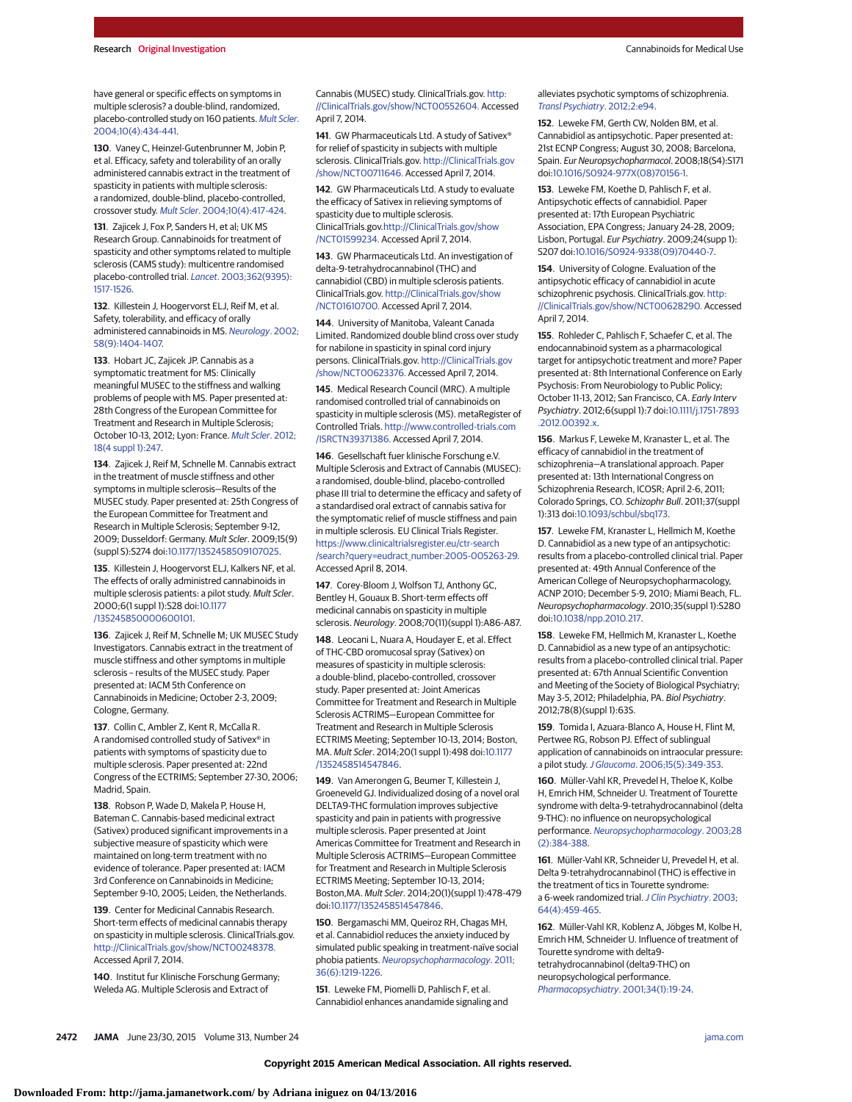have general or specific effects on symptoms in multiple sclerosis? a double-blind, randomized, placebo-controlled study on 160 patients. [Mult Scler](http://www.ncbi.nlm.nih.gov/pubmed/15327042). [2004;10\(4\):434-441.](http://www.ncbi.nlm.nih.gov/pubmed/15327042)

**130**. Vaney C, Heinzel-Gutenbrunner M, Jobin P, et al. Efficacy, safety and tolerability of an orally administered cannabis extract in the treatment of spasticity in patients with multiple sclerosis: a randomized, double-blind, placebo-controlled, crossover study. Mult Scler[. 2004;10\(4\):417-424.](http://www.ncbi.nlm.nih.gov/pubmed/15327040)

**131**. Zajicek J, Fox P, Sanders H, et al; UK MS Research Group. Cannabinoids for treatment of spasticity and other symptoms related to multiple sclerosis (CAMS study): multicentre randomised placebo-controlled trial. Lancet[. 2003;362\(9395\):](http://www.ncbi.nlm.nih.gov/pubmed/14615106) [1517-1526.](http://www.ncbi.nlm.nih.gov/pubmed/14615106)

**132**. Killestein J, Hoogervorst ELJ, Reif M, et al. Safety, tolerability, and efficacy of orally administered cannabinoids in MS. [Neurology](http://www.ncbi.nlm.nih.gov/pubmed/12011290). 2002; [58\(9\):1404-1407.](http://www.ncbi.nlm.nih.gov/pubmed/12011290)

**133**. Hobart JC, Zajicek JP. Cannabis as a symptomatic treatment for MS: Clinically meaningful MUSEC to the stiffness and walking problems of people with MS. Paper presented at: 28th Congress of the European Committee for Treatment and Research in Multiple Sclerosis; October 10-13, 2012; Lyon: France. [Mult Scler](http://www.ncbi.nlm.nih.gov/pubmed/23030018). 2012; [18\(4 suppl 1\):247.](http://www.ncbi.nlm.nih.gov/pubmed/23030018)

**134**. Zajicek J, Reif M, Schnelle M. Cannabis extract in the treatment of muscle stiffness and other symptoms in multiple sclerosis—Results of the MUSEC study. Paper presented at: 25th Congress of the European Committee for Treatment and Research in Multiple Sclerosis; September 9-12, 2009; Dusseldorf: Germany. Mult Scler. 2009;15(9) (suppl S):S274 doi[:10.1177/1352458509107025.](http://dx.doi.org/10.1177/1352458509107025)

**135**. Killestein J, Hoogervorst ELJ, Kalkers NF, et al. The effects of orally administred cannabinoids in multiple sclerosis patients: a pilot study. Mult Scler. 2000;6(1 suppl 1):S28 doi[:10.1177](http://dx.doi.org/10.1177/135245850000600101) [/135245850000600101.](http://dx.doi.org/10.1177/135245850000600101)

**136**. Zajicek J, Reif M, Schnelle M; UK MUSEC Study Investigators. Cannabis extract in the treatment of muscle stiffness and other symptoms in multiple sclerosis – results of the MUSEC study. Paper presented at: IACM 5th Conference on Cannabinoids in Medicine; October 2-3, 2009; Cologne, Germany.

**137**. Collin C, Ambler Z, Kent R, McCalla R. A randomised controlled study of Sativex® in patients with symptoms of spasticity due to multiple sclerosis. Paper presented at: 22nd Congress of the ECTRIMS; September 27-30, 2006; Madrid, Spain.

**138**. Robson P, Wade D, Makela P, House H, Bateman C. Cannabis-based medicinal extract (Sativex) produced significant improvements in a subjective measure of spasticity which were maintained on long-term treatment with no evidence of tolerance. Paper presented at: IACM 3rd Conference on Cannabinoids in Medicine; September 9-10, 2005; Leiden, the Netherlands.

**139**. Center for Medicinal Cannabis Research. Short-term effects of medicinal cannabis therapy on spasticity in multiple sclerosis. ClinicalTrials.gov. [http://ClinicalTrials.gov/show/NCT00248378.](http://ClinicalTrials.gov/show/NCT00248378) Accessed April 7, 2014.

**140**. Institut fur Klinische Forschung Germany; Weleda AG. Multiple Sclerosis and Extract of

Cannabis (MUSEC) study. ClinicalTrials.gov. [http:](http://ClinicalTrials.gov/show/NCT00552604) [//ClinicalTrials.gov/show/NCT00552604.](http://ClinicalTrials.gov/show/NCT00552604) Accessed April 7, 2014.

141. GW Pharmaceuticals Ltd. A study of Sativex<sup>®</sup> for relief of spasticity in subjects with multiple sclerosis. ClinicalTrials.gov. [http://ClinicalTrials.gov](http://ClinicalTrials.gov/show/NCT00711646) [/show/NCT00711646.](http://ClinicalTrials.gov/show/NCT00711646) Accessed April 7, 2014.

**142**. GW Pharmaceuticals Ltd. A study to evaluate the efficacy of Sativex in relieving symptoms of spasticity due to multiple sclerosis. ClinicalTrials.gov[.http://ClinicalTrials.gov/show](http://ClinicalTrials.gov/show/NCT01599234) [/NCT01599234.](http://ClinicalTrials.gov/show/NCT01599234) Accessed April 7, 2014.

**143**. GW Pharmaceuticals Ltd. An investigation of delta-9-tetrahydrocannabinol (THC) and cannabidiol (CBD) in multiple sclerosis patients. ClinicalTrials.gov. [http://ClinicalTrials.gov/show](http://ClinicalTrials.gov/show/NCT01610700) [/NCT01610700.](http://ClinicalTrials.gov/show/NCT01610700) Accessed April 7, 2014.

**144**. University of Manitoba, Valeant Canada Limited. Randomized double blind cross over study for nabilone in spasticity in spinal cord injury persons. ClinicalTrials.gov. [http://ClinicalTrials.gov](http://ClinicalTrials.gov/show/NCT00623376) [/show/NCT00623376.](http://ClinicalTrials.gov/show/NCT00623376) Accessed April 7, 2014.

**145**. Medical Research Council (MRC). A multiple randomised controlled trial of cannabinoids on spasticity in multiple sclerosis (MS). metaRegister of Controlled Trials. [http://www.controlled-trials.com](http://www.controlled-trials.com/ISRCTN39371386) [/ISRCTN39371386.](http://www.controlled-trials.com/ISRCTN39371386) Accessed April 7, 2014.

**146**. Gesellschaft fuer klinische Forschung e.V. Multiple Sclerosis and Extract of Cannabis (MUSEC): a randomised, double-blind, placebo-controlled phase III trial to determine the efficacy and safety of a standardised oral extract of cannabis sativa for the symptomatic relief of muscle stiffness and pain in multiple sclerosis. EU Clinical Trials Register. [https://www.clinicaltrialsregister.eu/ctr-search](https://www.clinicaltrialsregister.eu/ctr-search/search?query=eudract_number:2005-005263-29) [/search?query=eudract\\_number:2005-005263-29.](https://www.clinicaltrialsregister.eu/ctr-search/search?query=eudract_number:2005-005263-29) Accessed April 8, 2014.

**147**. Corey-Bloom J, Wolfson TJ, Anthony GC, Bentley H, Gouaux B. Short-term effects off medicinal cannabis on spasticity in multiple sclerosis. Neurology. 2008;70(11)(suppl 1):A86-A87.

**148**. Leocani L, Nuara A, Houdayer E, et al. Effect of THC-CBD oromucosal spray (Sativex) on measures of spasticity in multiple sclerosis: a double-blind, placebo-controlled, crossover study. Paper presented at: Joint Americas Committee for Treatment and Research in Multiple Sclerosis ACTRIMS—European Committee for Treatment and Research in Multiple Sclerosis ECTRIMS Meeting; September 10-13, 2014; Boston, MA. Mult Scler. 2014;20(1 suppl 1):498 doi[:10.1177](http://dx.doi.org/10.1177/1352458514547846) [/1352458514547846.](http://dx.doi.org/10.1177/1352458514547846)

**149**. Van Amerongen G, Beumer T, Killestein J, Groeneveld GJ. Individualized dosing of a novel oral DELTA9-THC formulation improves subjective spasticity and pain in patients with progressive multiple sclerosis. Paper presented at Joint Americas Committee for Treatment and Research in Multiple Sclerosis ACTRIMS—European Committee for Treatment and Research in Multiple Sclerosis ECTRIMS Meeting; September 10-13, 2014; Boston,MA. Mult Scler. 2014;20(1)(suppl 1):478-479 doi[:10.1177/1352458514547846.](http://dx.doi.org/10.1177/1352458514547846)

**150**. Bergamaschi MM, Queiroz RH, Chagas MH, et al. Cannabidiol reduces the anxiety induced by simulated public speaking in treatment-naïve social phobia patients. [Neuropsychopharmacology](http://www.ncbi.nlm.nih.gov/pubmed/21307846). 2011; [36\(6\):1219-1226.](http://www.ncbi.nlm.nih.gov/pubmed/21307846)

**151**. Leweke FM, Piomelli D, Pahlisch F, et al. Cannabidiol enhances anandamide signaling and alleviates psychotic symptoms of schizophrenia. [Transl Psychiatry](http://www.ncbi.nlm.nih.gov/pubmed/22832859). 2012;2:e94.

**152**. Leweke FM, Gerth CW, Nolden BM, et al. Cannabidiol as antipsychotic. Paper presented at: 21st ECNP Congress; August 30, 2008; Barcelona, Spain. Eur Neuropsychopharmacol. 2008;18(S4):S171 doi[:10.1016/S0924-977X\(08\)70156-1.](http://dx.doi.org/10.1016/S0924-977X(08)70156-1)

**153**. Leweke FM, Koethe D, Pahlisch F, et al. Antipsychotic effects of cannabidiol. Paper presented at: 17th European Psychiatric Association, EPA Congress; January 24-28, 2009; Lisbon, Portugal. Eur Psychiatry. 2009;24(supp 1): S207 doi[:10.1016/S0924-9338\(09\)70440-7.](http://dx.doi.org/10.1016/S0924-9338(09)70440-7)

**154**. University of Cologne. Evaluation of the antipsychotic efficacy of cannabidiol in acute schizophrenic psychosis. ClinicalTrials.gov. [http:](http://ClinicalTrials.gov/show/NCT00628290) [//ClinicalTrials.gov/show/NCT00628290.](http://ClinicalTrials.gov/show/NCT00628290) Accessed April 7, 2014.

**155**. Rohleder C, Pahlisch F, Schaefer C, et al. The endocannabinoid system as a pharmacological target for antipsychotic treatment and more? Paper presented at: 8th International Conference on Early Psychosis: From Neurobiology to Public Policy; October 11-13, 2012; San Francisco, CA. Early Interv Psychiatry. 2012;6(suppl 1):7 doi[:10.1111/j.1751-7893](http://dx.doi.org/10.1111/j.1751-7893.2012.00392.x) [.2012.00392.x.](http://dx.doi.org/10.1111/j.1751-7893.2012.00392.x)

**156**. Markus F, Leweke M, Kranaster L, et al. The efficacy of cannabidiol in the treatment of schizophrenia—A translational approach. Paper presented at: 13th International Congress on Schizophrenia Research, ICOSR; April 2-6, 2011; Colorado Springs, CO. Schizophr Bull. 2011;37(suppl 1):313 doi[:10.1093/schbul/sbq173.](http://dx.doi.org/10.1093/schbul/sbq173)

**157**. Leweke FM, Kranaster L, Hellmich M, Koethe D. Cannabidiol as a new type of an antipsychotic: results from a placebo-controlled clinical trial. Paper presented at: 49th Annual Conference of the American College of Neuropsychopharmacology, ACNP 2010; December 5-9, 2010; Miami Beach, FL. Neuropsychopharmacology. 2010;35(suppl 1):S280 doi[:10.1038/npp.2010.217.](http://dx.doi.org/10.1038/npp.2010.217)

**158**. Leweke FM, Hellmich M, Kranaster L, Koethe D. Cannabidiol as a new type of an antipsychotic: results from a placebo-controlled clinical trial. Paper presented at: 67th Annual Scientific Convention and Meeting of the Society of Biological Psychiatry; May 3-5, 2012; Philadelphia, PA. Biol Psychiatry. 2012;78(8)(suppl 1):63S.

**159**. Tomida I, Azuara-Blanco A, House H, Flint M, Pertwee RG, Robson PJ. Effect of sublingual application of cannabinoids on intraocular pressure: a pilot study.J Glaucoma[. 2006;15\(5\):349-353.](http://www.ncbi.nlm.nih.gov/pubmed/16988594)

**160**. Müller-Vahl KR, Prevedel H, Theloe K, Kolbe H, Emrich HM, Schneider U. Treatment of Tourette syndrome with delta-9-tetrahydrocannabinol (delta 9-THC): no influence on neuropsychological performance. [Neuropsychopharmacology](http://www.ncbi.nlm.nih.gov/pubmed/12589392). 2003;28 [\(2\):384-388.](http://www.ncbi.nlm.nih.gov/pubmed/12589392)

**161**. Müller-Vahl KR, Schneider U, Prevedel H, et al. Delta 9-tetrahydrocannabinol (THC) is effective in the treatment of tics in Tourette syndrome: a 6-week randomized trial. [J Clin Psychiatry](http://www.ncbi.nlm.nih.gov/pubmed/12716250). 2003; [64\(4\):459-465.](http://www.ncbi.nlm.nih.gov/pubmed/12716250)

**162**. Müller-Vahl KR, Koblenz A, Jöbges M, Kolbe H, Emrich HM, Schneider U. Influence of treatment of Tourette syndrome with delta9 tetrahydrocannabinol (delta9-THC) on neuropsychological performance. [Pharmacopsychiatry](http://www.ncbi.nlm.nih.gov/pubmed/11229617). 2001;34(1):19-24.